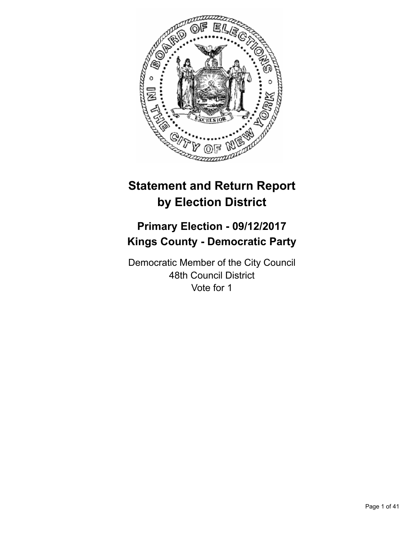

# **Statement and Return Report by Election District**

# **Primary Election - 09/12/2017 Kings County - Democratic Party**

Democratic Member of the City Council 48th Council District Vote for 1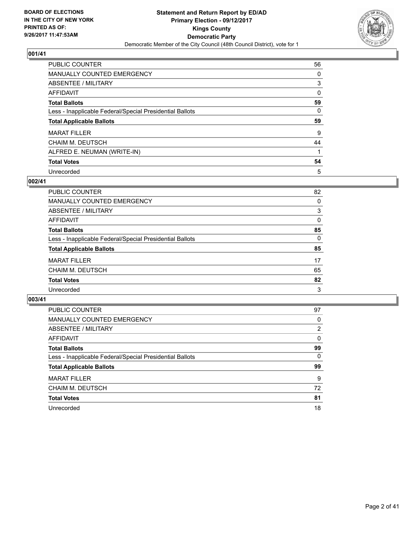

| <b>PUBLIC COUNTER</b>                                    | 56 |
|----------------------------------------------------------|----|
| <b>MANUALLY COUNTED EMERGENCY</b>                        | 0  |
| ABSENTEE / MILITARY                                      | 3  |
| AFFIDAVIT                                                | 0  |
| <b>Total Ballots</b>                                     | 59 |
| Less - Inapplicable Federal/Special Presidential Ballots | 0  |
| <b>Total Applicable Ballots</b>                          | 59 |
| <b>MARAT FILLER</b>                                      | 9  |
|                                                          |    |
| <b>CHAIM M. DEUTSCH</b>                                  | 44 |
| ALFRED E. NEUMAN (WRITE-IN)                              |    |
| <b>Total Votes</b>                                       | 54 |

# **002/41**

| <b>PUBLIC COUNTER</b>                                    | 82 |
|----------------------------------------------------------|----|
| MANUALLY COUNTED EMERGENCY                               | 0  |
| ABSENTEE / MILITARY                                      | 3  |
| AFFIDAVIT                                                | 0  |
| <b>Total Ballots</b>                                     | 85 |
| Less - Inapplicable Federal/Special Presidential Ballots | 0  |
| <b>Total Applicable Ballots</b>                          | 85 |
| <b>MARAT FILLER</b>                                      | 17 |
| <b>CHAIM M. DEUTSCH</b>                                  | 65 |
| <b>Total Votes</b>                                       | 82 |
| Unrecorded                                               | 3  |

| <b>PUBLIC COUNTER</b>                                    | 97 |
|----------------------------------------------------------|----|
| <b>MANUALLY COUNTED EMERGENCY</b>                        | 0  |
| ABSENTEE / MILITARY                                      | 2  |
| AFFIDAVIT                                                | 0  |
| <b>Total Ballots</b>                                     | 99 |
| Less - Inapplicable Federal/Special Presidential Ballots | 0  |
| <b>Total Applicable Ballots</b>                          | 99 |
| <b>MARAT FILLER</b>                                      | 9  |
| <b>CHAIM M. DEUTSCH</b>                                  | 72 |
| <b>Total Votes</b>                                       | 81 |
| Unrecorded                                               | 18 |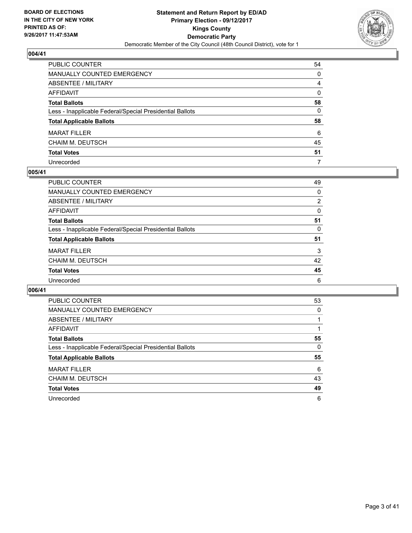

| PUBLIC COUNTER                                           | 54           |
|----------------------------------------------------------|--------------|
| MANUALLY COUNTED EMERGENCY                               | 0            |
| ABSENTEE / MILITARY                                      | 4            |
| AFFIDAVIT                                                | $\Omega$     |
| <b>Total Ballots</b>                                     | 58           |
| Less - Inapplicable Federal/Special Presidential Ballots | $\mathbf{0}$ |
| <b>Total Applicable Ballots</b>                          | 58           |
| <b>MARAT FILLER</b>                                      | 6            |
| <b>CHAIM M. DEUTSCH</b>                                  | 45           |
| <b>Total Votes</b>                                       | 51           |
| Unrecorded                                               | 7            |

#### **005/41**

| <b>PUBLIC COUNTER</b>                                    | 49             |
|----------------------------------------------------------|----------------|
| MANUALLY COUNTED EMERGENCY                               | 0              |
| ABSENTEE / MILITARY                                      | $\overline{2}$ |
| AFFIDAVIT                                                | 0              |
| <b>Total Ballots</b>                                     | 51             |
| Less - Inapplicable Federal/Special Presidential Ballots | 0              |
| <b>Total Applicable Ballots</b>                          | 51             |
| <b>MARAT FILLER</b>                                      | 3              |
| <b>CHAIM M. DEUTSCH</b>                                  | 42             |
| <b>Total Votes</b>                                       | 45             |
| Unrecorded                                               | 6              |

| <b>PUBLIC COUNTER</b>                                    | 53 |
|----------------------------------------------------------|----|
| <b>MANUALLY COUNTED EMERGENCY</b>                        | 0  |
| <b>ABSENTEE / MILITARY</b>                               |    |
| <b>AFFIDAVIT</b>                                         |    |
| <b>Total Ballots</b>                                     | 55 |
| Less - Inapplicable Federal/Special Presidential Ballots | 0  |
| <b>Total Applicable Ballots</b>                          | 55 |
| <b>MARAT FILLER</b>                                      | 6  |
| CHAIM M. DEUTSCH                                         | 43 |
| <b>Total Votes</b>                                       | 49 |
| Unrecorded                                               | 6  |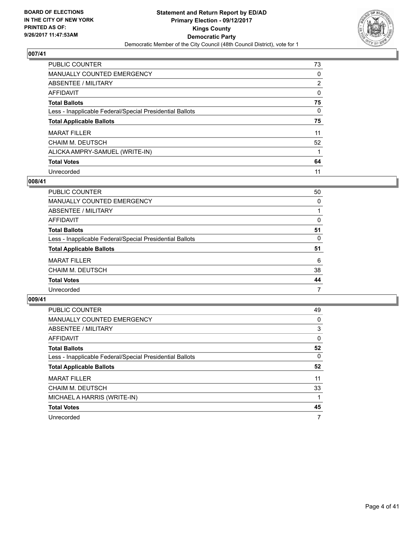

| PUBLIC COUNTER                                           | 73             |
|----------------------------------------------------------|----------------|
| <b>MANUALLY COUNTED EMERGENCY</b>                        | 0              |
| ABSENTEE / MILITARY                                      | $\overline{2}$ |
| AFFIDAVIT                                                | 0              |
| <b>Total Ballots</b>                                     | 75             |
| Less - Inapplicable Federal/Special Presidential Ballots | 0              |
| <b>Total Applicable Ballots</b>                          | 75             |
| <b>MARAT FILLER</b>                                      | 11             |
| <b>CHAIM M. DEUTSCH</b>                                  | 52             |
| ALICKA AMPRY-SAMUEL (WRITE-IN)                           |                |
| <b>Total Votes</b>                                       | 64             |
| Unrecorded                                               | 11             |

### **008/41**

| <b>PUBLIC COUNTER</b>                                    | 50 |
|----------------------------------------------------------|----|
| MANUALLY COUNTED EMERGENCY                               | 0  |
| ABSENTEE / MILITARY                                      |    |
| AFFIDAVIT                                                | 0  |
| <b>Total Ballots</b>                                     | 51 |
| Less - Inapplicable Federal/Special Presidential Ballots | 0  |
| <b>Total Applicable Ballots</b>                          | 51 |
| <b>MARAT FILLER</b>                                      | 6  |
| <b>CHAIM M. DEUTSCH</b>                                  | 38 |
| <b>Total Votes</b>                                       | 44 |
| Unrecorded                                               | 7  |

| <b>PUBLIC COUNTER</b>                                    | 49 |
|----------------------------------------------------------|----|
| MANUALLY COUNTED EMERGENCY                               | 0  |
| ABSENTEE / MILITARY                                      | 3  |
| AFFIDAVIT                                                | 0  |
| <b>Total Ballots</b>                                     | 52 |
| Less - Inapplicable Federal/Special Presidential Ballots | 0  |
| <b>Total Applicable Ballots</b>                          | 52 |
| <b>MARAT FILLER</b>                                      | 11 |
| <b>CHAIM M. DEUTSCH</b>                                  | 33 |
| MICHAEL A HARRIS (WRITE-IN)                              |    |
| <b>Total Votes</b>                                       | 45 |
| Unrecorded                                               | 7  |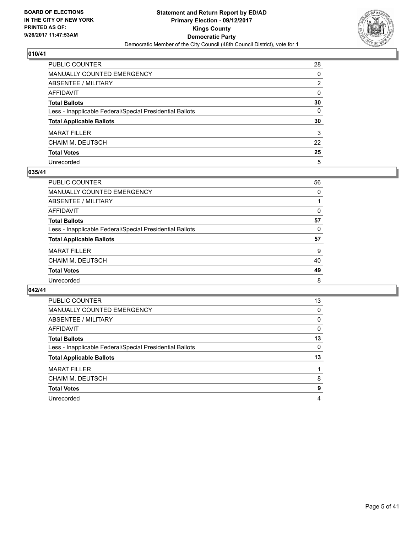

| PUBLIC COUNTER                                           | 28           |
|----------------------------------------------------------|--------------|
| MANUALLY COUNTED EMERGENCY                               | 0            |
| <b>ABSENTEE / MILITARY</b>                               | 2            |
| AFFIDAVIT                                                | $\Omega$     |
| <b>Total Ballots</b>                                     | 30           |
| Less - Inapplicable Federal/Special Presidential Ballots | $\mathbf{0}$ |
| <b>Total Applicable Ballots</b>                          | 30           |
| <b>MARAT FILLER</b>                                      | 3            |
| CHAIM M. DEUTSCH                                         | 22           |
| <b>Total Votes</b>                                       | 25           |
| Unrecorded                                               | 5            |

#### **035/41**

| 56 |
|----|
| 0  |
|    |
| 0  |
| 57 |
| 0  |
| 57 |
| 9  |
| 40 |
| 49 |
| 8  |
|    |

| <b>PUBLIC COUNTER</b>                                    | 13 |
|----------------------------------------------------------|----|
| MANUALLY COUNTED EMERGENCY                               | 0  |
| ABSENTEE / MILITARY                                      | 0  |
| AFFIDAVIT                                                | 0  |
| <b>Total Ballots</b>                                     | 13 |
| Less - Inapplicable Federal/Special Presidential Ballots | 0  |
| <b>Total Applicable Ballots</b>                          | 13 |
| <b>MARAT FILLER</b>                                      |    |
| CHAIM M. DEUTSCH                                         | 8  |
| <b>Total Votes</b>                                       | 9  |
| Unrecorded                                               | 4  |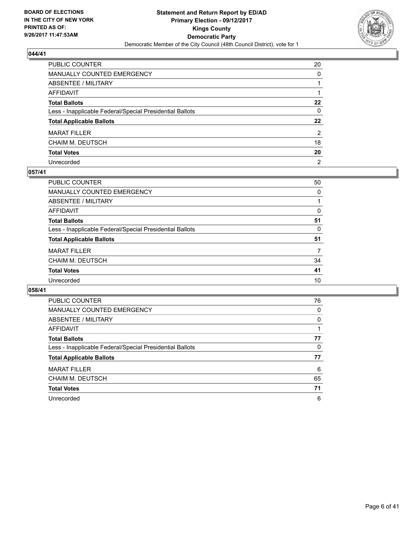

| PUBLIC COUNTER                                           | 20             |
|----------------------------------------------------------|----------------|
| MANUALLY COUNTED EMERGENCY                               | $\Omega$       |
| ABSENTEE / MILITARY                                      |                |
| AFFIDAVIT                                                |                |
| Total Ballots                                            | $22 \,$        |
| Less - Inapplicable Federal/Special Presidential Ballots | 0              |
| <b>Total Applicable Ballots</b>                          | $22 \,$        |
| <b>MARAT FILLER</b>                                      | 2              |
| CHAIM M. DEUTSCH                                         | 18             |
| <b>Total Votes</b>                                       | 20             |
| Unrecorded                                               | $\overline{2}$ |

#### **057/41**

| <b>PUBLIC COUNTER</b>                                    | 50 |
|----------------------------------------------------------|----|
| MANUALLY COUNTED EMERGENCY                               | 0  |
| ABSENTEE / MILITARY                                      |    |
| AFFIDAVIT                                                | 0  |
| <b>Total Ballots</b>                                     | 51 |
| Less - Inapplicable Federal/Special Presidential Ballots | 0  |
| <b>Total Applicable Ballots</b>                          | 51 |
| <b>MARAT FILLER</b>                                      | 7  |
| <b>CHAIM M. DEUTSCH</b>                                  | 34 |
| <b>Total Votes</b>                                       | 41 |
| Unrecorded                                               | 10 |
|                                                          |    |

| <b>PUBLIC COUNTER</b>                                    | 76 |
|----------------------------------------------------------|----|
| <b>MANUALLY COUNTED EMERGENCY</b>                        | 0  |
| ABSENTEE / MILITARY                                      | 0  |
| <b>AFFIDAVIT</b>                                         |    |
| <b>Total Ballots</b>                                     | 77 |
| Less - Inapplicable Federal/Special Presidential Ballots | 0  |
| <b>Total Applicable Ballots</b>                          | 77 |
| <b>MARAT FILLER</b>                                      | 6  |
| CHAIM M. DEUTSCH                                         | 65 |
| <b>Total Votes</b>                                       | 71 |
| Unrecorded                                               | 6  |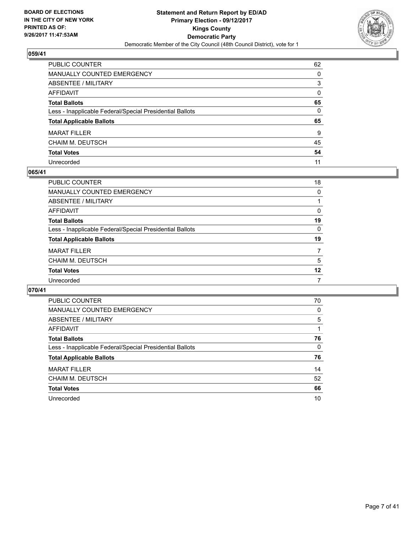

| PUBLIC COUNTER                                           | 62           |
|----------------------------------------------------------|--------------|
| <b>MANUALLY COUNTED EMERGENCY</b>                        | $\Omega$     |
| ABSENTEE / MILITARY                                      | 3            |
| AFFIDAVIT                                                | $\Omega$     |
| <b>Total Ballots</b>                                     | 65           |
| Less - Inapplicable Federal/Special Presidential Ballots | $\mathbf{0}$ |
| <b>Total Applicable Ballots</b>                          | 65           |
| <b>MARAT FILLER</b>                                      | 9            |
| CHAIM M. DEUTSCH                                         | 45           |
| <b>Total Votes</b>                                       | 54           |
| Unrecorded                                               | 11           |

#### **065/41**

| <b>PUBLIC COUNTER</b>                                    | 18       |
|----------------------------------------------------------|----------|
| <b>MANUALLY COUNTED EMERGENCY</b>                        | 0        |
| ABSENTEE / MILITARY                                      |          |
| AFFIDAVIT                                                | 0        |
| <b>Total Ballots</b>                                     | 19       |
| Less - Inapplicable Federal/Special Presidential Ballots | $\Omega$ |
| <b>Total Applicable Ballots</b>                          | 19       |
| <b>MARAT FILLER</b>                                      | 7        |
| CHAIM M. DEUTSCH                                         | 5        |
| <b>Total Votes</b>                                       | 12       |
| Unrecorded                                               | 7        |

| <b>PUBLIC COUNTER</b>                                    | 70 |
|----------------------------------------------------------|----|
| <b>MANUALLY COUNTED EMERGENCY</b>                        | 0  |
| <b>ABSENTEE / MILITARY</b>                               | 5  |
| AFFIDAVIT                                                |    |
| <b>Total Ballots</b>                                     | 76 |
| Less - Inapplicable Federal/Special Presidential Ballots | 0  |
| <b>Total Applicable Ballots</b>                          | 76 |
| <b>MARAT FILLER</b>                                      | 14 |
| CHAIM M. DEUTSCH                                         | 52 |
| <b>Total Votes</b>                                       | 66 |
| Unrecorded                                               | 10 |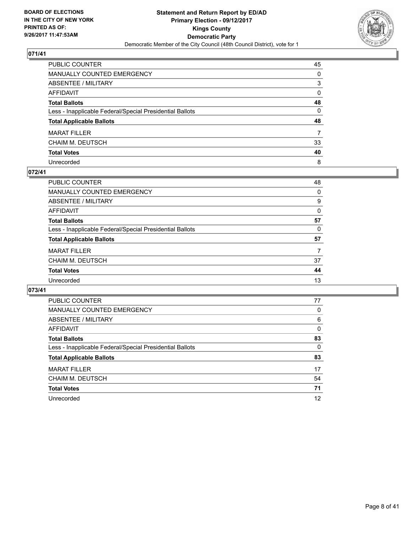

| PUBLIC COUNTER                                           | 45           |
|----------------------------------------------------------|--------------|
| MANUALLY COUNTED EMERGENCY                               | 0            |
| ABSENTEE / MILITARY                                      | 3            |
| AFFIDAVIT                                                | $\mathbf{0}$ |
| Total Ballots                                            | 48           |
| Less - Inapplicable Federal/Special Presidential Ballots | $\mathbf{0}$ |
| <b>Total Applicable Ballots</b>                          | 48           |
| MARAT FILLER                                             | 7            |
| CHAIM M. DEUTSCH                                         | 33           |
| <b>Total Votes</b>                                       | 40           |
| Unrecorded                                               | 8            |

#### **072/41**

| PUBLIC COUNTER                                           | 48 |
|----------------------------------------------------------|----|
| MANUALLY COUNTED EMERGENCY                               | 0  |
| ABSENTEE / MILITARY                                      | 9  |
| AFFIDAVIT                                                | 0  |
| <b>Total Ballots</b>                                     | 57 |
| Less - Inapplicable Federal/Special Presidential Ballots | 0  |
| <b>Total Applicable Ballots</b>                          | 57 |
| <b>MARAT FILLER</b>                                      | 7  |
| <b>CHAIM M. DEUTSCH</b>                                  | 37 |
| <b>Total Votes</b>                                       | 44 |
| Unrecorded                                               | 13 |
|                                                          |    |

| <b>PUBLIC COUNTER</b>                                    | 77 |
|----------------------------------------------------------|----|
| <b>MANUALLY COUNTED EMERGENCY</b>                        | 0  |
| ABSENTEE / MILITARY                                      | 6  |
| AFFIDAVIT                                                | 0  |
| <b>Total Ballots</b>                                     | 83 |
| Less - Inapplicable Federal/Special Presidential Ballots | 0  |
| <b>Total Applicable Ballots</b>                          | 83 |
| <b>MARAT FILLER</b>                                      | 17 |
| CHAIM M. DEUTSCH                                         | 54 |
| <b>Total Votes</b>                                       | 71 |
| Unrecorded                                               | 12 |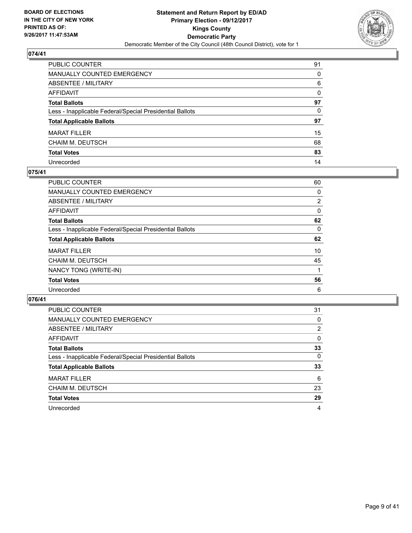

| PUBLIC COUNTER                                           | 91           |
|----------------------------------------------------------|--------------|
| MANUALLY COUNTED EMERGENCY                               | 0            |
| ABSENTEE / MILITARY                                      | 6            |
| AFFIDAVIT                                                | $\mathbf{0}$ |
| Total Ballots                                            | 97           |
| Less - Inapplicable Federal/Special Presidential Ballots | $\mathbf{0}$ |
| <b>Total Applicable Ballots</b>                          | 97           |
| <b>MARAT FILLER</b>                                      | 15           |
| CHAIM M. DEUTSCH                                         | 68           |
| <b>Total Votes</b>                                       | 83           |
| Unrecorded                                               | 14           |

## **075/41**

| <b>PUBLIC COUNTER</b>                                    | 60             |
|----------------------------------------------------------|----------------|
| <b>MANUALLY COUNTED EMERGENCY</b>                        | 0              |
| ABSENTEE / MILITARY                                      | $\overline{2}$ |
| AFFIDAVIT                                                | 0              |
| <b>Total Ballots</b>                                     | 62             |
| Less - Inapplicable Federal/Special Presidential Ballots | 0              |
| <b>Total Applicable Ballots</b>                          | 62             |
| <b>MARAT FILLER</b>                                      | 10             |
| <b>CHAIM M. DEUTSCH</b>                                  | 45             |
| NANCY TONG (WRITE-IN)                                    |                |
| <b>Total Votes</b>                                       | 56             |
| Unrecorded                                               | 6              |

| <b>PUBLIC COUNTER</b>                                    | 31 |
|----------------------------------------------------------|----|
| <b>MANUALLY COUNTED EMERGENCY</b>                        | 0  |
| ABSENTEE / MILITARY                                      | 2  |
| AFFIDAVIT                                                | 0  |
| <b>Total Ballots</b>                                     | 33 |
| Less - Inapplicable Federal/Special Presidential Ballots | 0  |
| <b>Total Applicable Ballots</b>                          | 33 |
| <b>MARAT FILLER</b>                                      | 6  |
| <b>CHAIM M. DEUTSCH</b>                                  | 23 |
| <b>Total Votes</b>                                       | 29 |
| Unrecorded                                               | 4  |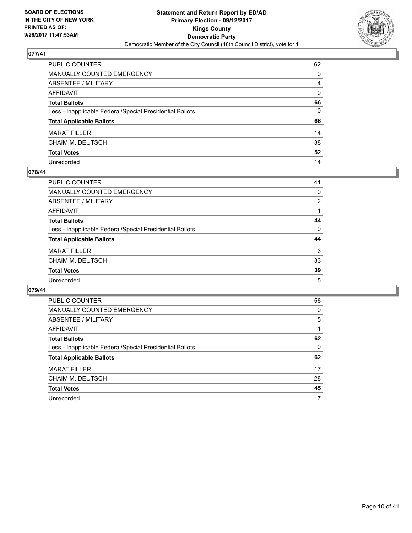

| PUBLIC COUNTER                                           | 62           |
|----------------------------------------------------------|--------------|
| MANUALLY COUNTED EMERGENCY                               | $\Omega$     |
| ABSENTEE / MILITARY                                      | 4            |
| AFFIDAVIT                                                | $\mathbf{0}$ |
| Total Ballots                                            | 66           |
| Less - Inapplicable Federal/Special Presidential Ballots | 0            |
| <b>Total Applicable Ballots</b>                          | 66           |
| <b>MARAT FILLER</b>                                      | 14           |
| CHAIM M. DEUTSCH                                         | 38           |
| <b>Total Votes</b>                                       | 52           |
| Unrecorded                                               | 14           |

#### **078/41**

| PUBLIC COUNTER                                           | 41             |
|----------------------------------------------------------|----------------|
| <b>MANUALLY COUNTED EMERGENCY</b>                        | 0              |
| ABSENTEE / MILITARY                                      | $\overline{2}$ |
| AFFIDAVIT                                                |                |
| <b>Total Ballots</b>                                     | 44             |
| Less - Inapplicable Federal/Special Presidential Ballots | 0              |
| <b>Total Applicable Ballots</b>                          | 44             |
| <b>MARAT FILLER</b>                                      | 6              |
| <b>CHAIM M. DEUTSCH</b>                                  | 33             |
| <b>Total Votes</b>                                       | 39             |
| Unrecorded                                               | 5              |

| <b>PUBLIC COUNTER</b>                                    | 56 |
|----------------------------------------------------------|----|
| <b>MANUALLY COUNTED EMERGENCY</b>                        | 0  |
| <b>ABSENTEE / MILITARY</b>                               | 5  |
| <b>AFFIDAVIT</b>                                         |    |
| <b>Total Ballots</b>                                     | 62 |
| Less - Inapplicable Federal/Special Presidential Ballots | 0  |
| <b>Total Applicable Ballots</b>                          | 62 |
| <b>MARAT FILLER</b>                                      | 17 |
| CHAIM M. DEUTSCH                                         | 28 |
| <b>Total Votes</b>                                       | 45 |
| Unrecorded                                               | 17 |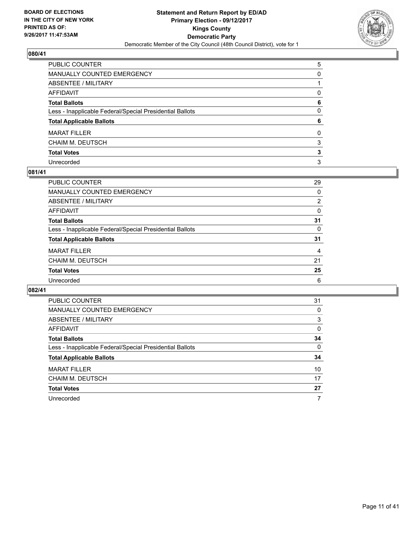

| PUBLIC COUNTER                                           | 5            |
|----------------------------------------------------------|--------------|
| MANUALLY COUNTED EMERGENCY                               | 0            |
| ABSENTEE / MILITARY                                      |              |
| AFFIDAVIT                                                | 0            |
| Total Ballots                                            | 6            |
| Less - Inapplicable Federal/Special Presidential Ballots | $\mathbf{0}$ |
| <b>Total Applicable Ballots</b>                          | 6            |
| MARAT FILLER                                             | 0            |
| CHAIM M. DEUTSCH                                         | 3            |
| <b>Total Votes</b>                                       | 3            |
| Unrecorded                                               | 3            |

#### **081/41**

| PUBLIC COUNTER                                           | 29             |
|----------------------------------------------------------|----------------|
| MANUALLY COUNTED EMERGENCY                               | 0              |
| ABSENTEE / MILITARY                                      | $\overline{2}$ |
| AFFIDAVIT                                                | 0              |
| <b>Total Ballots</b>                                     | 31             |
| Less - Inapplicable Federal/Special Presidential Ballots | 0              |
| <b>Total Applicable Ballots</b>                          | 31             |
| <b>MARAT FILLER</b>                                      | 4              |
| <b>CHAIM M. DEUTSCH</b>                                  | 21             |
| <b>Total Votes</b>                                       | 25             |
| Unrecorded                                               | 6              |

| <b>PUBLIC COUNTER</b>                                    | 31 |
|----------------------------------------------------------|----|
| <b>MANUALLY COUNTED EMERGENCY</b>                        | 0  |
| <b>ABSENTEE / MILITARY</b>                               | 3  |
| <b>AFFIDAVIT</b>                                         | 0  |
| <b>Total Ballots</b>                                     | 34 |
| Less - Inapplicable Federal/Special Presidential Ballots | 0  |
| <b>Total Applicable Ballots</b>                          | 34 |
| <b>MARAT FILLER</b>                                      | 10 |
| CHAIM M. DEUTSCH                                         | 17 |
| <b>Total Votes</b>                                       | 27 |
| Unrecorded                                               | 7  |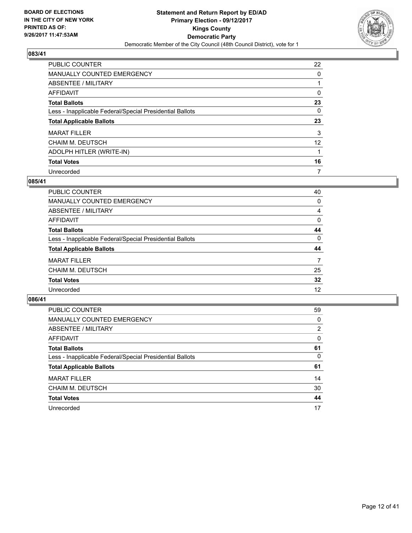

| <b>PUBLIC COUNTER</b>                                    | 22              |
|----------------------------------------------------------|-----------------|
| <b>MANUALLY COUNTED EMERGENCY</b>                        | 0               |
| ABSENTEE / MILITARY                                      |                 |
| AFFIDAVIT                                                | 0               |
| <b>Total Ballots</b>                                     | 23              |
| Less - Inapplicable Federal/Special Presidential Ballots | 0               |
| <b>Total Applicable Ballots</b>                          | 23              |
| <b>MARAT FILLER</b>                                      | 3               |
| <b>CHAIM M. DEUTSCH</b>                                  | 12 <sup>°</sup> |
| ADOLPH HITLER (WRITE-IN)                                 |                 |
| <b>Total Votes</b>                                       | 16              |
| Unrecorded                                               | 7               |

#### **085/41**

| <b>PUBLIC COUNTER</b>                                    | 40 |
|----------------------------------------------------------|----|
| <b>MANUALLY COUNTED EMERGENCY</b>                        | 0  |
| ABSENTEE / MILITARY                                      | 4  |
| AFFIDAVIT                                                | 0  |
| <b>Total Ballots</b>                                     | 44 |
| Less - Inapplicable Federal/Special Presidential Ballots | 0  |
| <b>Total Applicable Ballots</b>                          | 44 |
| <b>MARAT FILLER</b>                                      | 7  |
| <b>CHAIM M. DEUTSCH</b>                                  | 25 |
| <b>Total Votes</b>                                       | 32 |
| Unrecorded                                               | 12 |
|                                                          |    |

| <b>PUBLIC COUNTER</b>                                    | 59 |
|----------------------------------------------------------|----|
| <b>MANUALLY COUNTED EMERGENCY</b>                        | 0  |
| ABSENTEE / MILITARY                                      | 2  |
| AFFIDAVIT                                                | 0  |
| <b>Total Ballots</b>                                     | 61 |
| Less - Inapplicable Federal/Special Presidential Ballots | 0  |
| <b>Total Applicable Ballots</b>                          | 61 |
| <b>MARAT FILLER</b>                                      | 14 |
| <b>CHAIM M. DEUTSCH</b>                                  | 30 |
| <b>Total Votes</b>                                       | 44 |
| Unrecorded                                               | 17 |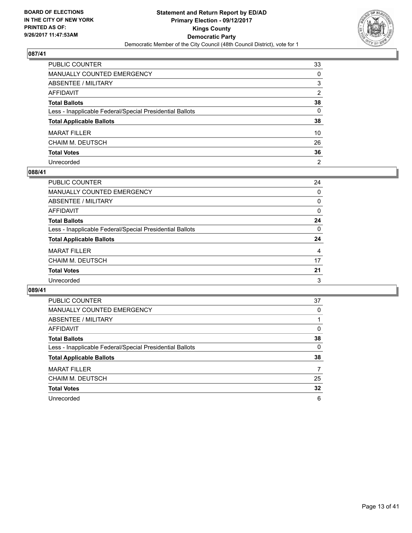

| PUBLIC COUNTER                                           | 33             |
|----------------------------------------------------------|----------------|
| MANUALLY COUNTED EMERGENCY                               | 0              |
| ABSENTEE / MILITARY                                      | 3              |
| AFFIDAVIT                                                | 2              |
| Total Ballots                                            | 38             |
| Less - Inapplicable Federal/Special Presidential Ballots | 0              |
| <b>Total Applicable Ballots</b>                          | 38             |
| <b>MARAT FILLER</b>                                      | 10             |
| CHAIM M. DEUTSCH                                         | 26             |
| <b>Total Votes</b>                                       | 36             |
| Unrecorded                                               | $\overline{2}$ |

#### **088/41**

| PUBLIC COUNTER                                           | 24 |
|----------------------------------------------------------|----|
| MANUALLY COUNTED EMERGENCY                               | 0  |
| ABSENTEE / MILITARY                                      | 0  |
| AFFIDAVIT                                                | 0  |
| <b>Total Ballots</b>                                     | 24 |
| Less - Inapplicable Federal/Special Presidential Ballots | 0  |
| <b>Total Applicable Ballots</b>                          | 24 |
| <b>MARAT FILLER</b>                                      | 4  |
| <b>CHAIM M. DEUTSCH</b>                                  | 17 |
| <b>Total Votes</b>                                       | 21 |
| Unrecorded                                               | 3  |

| <b>PUBLIC COUNTER</b>                                    | 37 |
|----------------------------------------------------------|----|
| <b>MANUALLY COUNTED EMERGENCY</b>                        | 0  |
| ABSENTEE / MILITARY                                      |    |
| <b>AFFIDAVIT</b>                                         | 0  |
| <b>Total Ballots</b>                                     | 38 |
| Less - Inapplicable Federal/Special Presidential Ballots | 0  |
| <b>Total Applicable Ballots</b>                          | 38 |
| <b>MARAT FILLER</b>                                      | 7  |
| CHAIM M. DEUTSCH                                         | 25 |
| <b>Total Votes</b>                                       | 32 |
| Unrecorded                                               | 6  |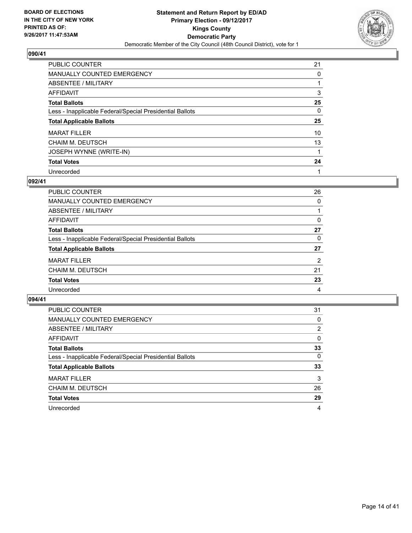

| PUBLIC COUNTER                                           | 21 |
|----------------------------------------------------------|----|
| <b>MANUALLY COUNTED EMERGENCY</b>                        | 0  |
| ABSENTEE / MILITARY                                      |    |
| AFFIDAVIT                                                | 3  |
| <b>Total Ballots</b>                                     | 25 |
| Less - Inapplicable Federal/Special Presidential Ballots | 0  |
| <b>Total Applicable Ballots</b>                          | 25 |
| <b>MARAT FILLER</b>                                      | 10 |
| <b>CHAIM M. DEUTSCH</b>                                  | 13 |
| JOSEPH WYNNE (WRITE-IN)                                  |    |
| <b>Total Votes</b>                                       | 24 |
| Unrecorded                                               |    |

### **092/41**

| <b>PUBLIC COUNTER</b>                                    | 26             |
|----------------------------------------------------------|----------------|
| MANUALLY COUNTED EMERGENCY                               | 0              |
| ABSENTEE / MILITARY                                      |                |
| AFFIDAVIT                                                | 0              |
| <b>Total Ballots</b>                                     | 27             |
| Less - Inapplicable Federal/Special Presidential Ballots | 0              |
| <b>Total Applicable Ballots</b>                          | 27             |
| <b>MARAT FILLER</b>                                      | $\overline{2}$ |
| <b>CHAIM M. DEUTSCH</b>                                  | 21             |
| <b>Total Votes</b>                                       | 23             |
| Unrecorded                                               | 4              |
|                                                          |                |

| <b>PUBLIC COUNTER</b>                                    | 31 |
|----------------------------------------------------------|----|
| <b>MANUALLY COUNTED EMERGENCY</b>                        | 0  |
| ABSENTEE / MILITARY                                      | 2  |
| AFFIDAVIT                                                | 0  |
| <b>Total Ballots</b>                                     | 33 |
| Less - Inapplicable Federal/Special Presidential Ballots | 0  |
| <b>Total Applicable Ballots</b>                          | 33 |
| <b>MARAT FILLER</b>                                      | 3  |
| CHAIM M. DEUTSCH                                         | 26 |
| <b>Total Votes</b>                                       | 29 |
| Unrecorded                                               | 4  |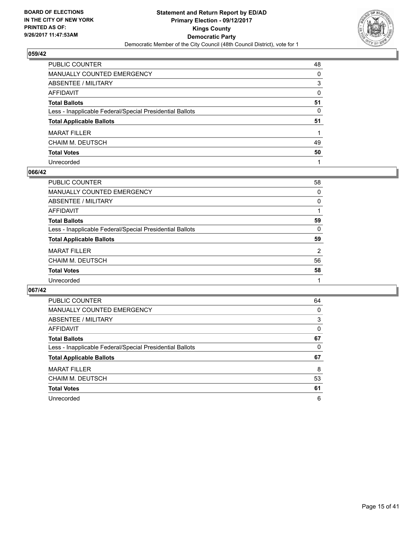

| PUBLIC COUNTER                                           | 48 |
|----------------------------------------------------------|----|
| <b>MANUALLY COUNTED EMERGENCY</b>                        | 0  |
| <b>ABSENTEE / MILITARY</b>                               | 3  |
| <b>AFFIDAVIT</b>                                         | 0  |
| <b>Total Ballots</b>                                     | 51 |
| Less - Inapplicable Federal/Special Presidential Ballots | 0  |
| <b>Total Applicable Ballots</b>                          | 51 |
| <b>MARAT FILLER</b>                                      |    |
| <b>CHAIM M. DEUTSCH</b>                                  | 49 |
| <b>Total Votes</b>                                       | 50 |
| Unrecorded                                               |    |

#### **066/42**

| <b>PUBLIC COUNTER</b>                                    | 58 |
|----------------------------------------------------------|----|
| <b>MANUALLY COUNTED EMERGENCY</b>                        | 0  |
| ABSENTEE / MILITARY                                      | 0  |
| AFFIDAVIT                                                |    |
| <b>Total Ballots</b>                                     | 59 |
| Less - Inapplicable Federal/Special Presidential Ballots | 0  |
| <b>Total Applicable Ballots</b>                          | 59 |
| <b>MARAT FILLER</b>                                      | 2  |
| <b>CHAIM M. DEUTSCH</b>                                  | 56 |
| <b>Total Votes</b>                                       | 58 |
| Unrecorded                                               |    |
|                                                          |    |

| <b>PUBLIC COUNTER</b>                                    | 64 |
|----------------------------------------------------------|----|
| <b>MANUALLY COUNTED EMERGENCY</b>                        | 0  |
| ABSENTEE / MILITARY                                      | 3  |
| <b>AFFIDAVIT</b>                                         | 0  |
| <b>Total Ballots</b>                                     | 67 |
| Less - Inapplicable Federal/Special Presidential Ballots | 0  |
| <b>Total Applicable Ballots</b>                          | 67 |
| <b>MARAT FILLER</b>                                      | 8  |
| CHAIM M. DEUTSCH                                         | 53 |
| <b>Total Votes</b>                                       | 61 |
| Unrecorded                                               |    |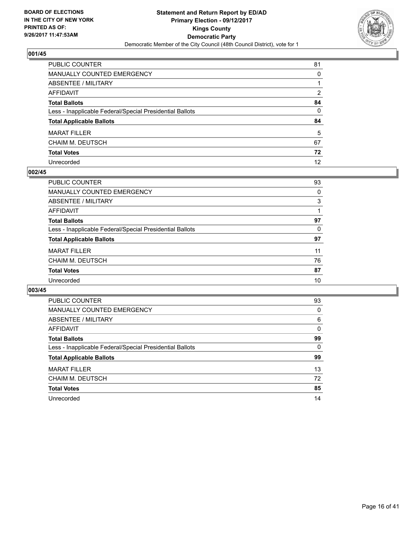

| PUBLIC COUNTER                                           | 81 |
|----------------------------------------------------------|----|
| MANUALLY COUNTED EMERGENCY                               | 0  |
| <b>ABSENTEE / MILITARY</b>                               |    |
| <b>AFFIDAVIT</b>                                         | 2  |
| <b>Total Ballots</b>                                     | 84 |
| Less - Inapplicable Federal/Special Presidential Ballots | 0  |
| <b>Total Applicable Ballots</b>                          | 84 |
| <b>MARAT FILLER</b>                                      | 5  |
| <b>CHAIM M. DEUTSCH</b>                                  | 67 |
| <b>Total Votes</b>                                       | 72 |
| Unrecorded                                               | 12 |

#### **002/45**

| <b>PUBLIC COUNTER</b>                                    | 93 |
|----------------------------------------------------------|----|
| <b>MANUALLY COUNTED EMERGENCY</b>                        | 0  |
| ABSENTEE / MILITARY                                      | 3  |
| AFFIDAVIT                                                |    |
| <b>Total Ballots</b>                                     | 97 |
| Less - Inapplicable Federal/Special Presidential Ballots | 0  |
| <b>Total Applicable Ballots</b>                          | 97 |
| <b>MARAT FILLER</b>                                      | 11 |
| <b>CHAIM M. DEUTSCH</b>                                  | 76 |
| <b>Total Votes</b>                                       | 87 |
| Unrecorded                                               | 10 |
|                                                          |    |

| <b>PUBLIC COUNTER</b>                                    | 93 |
|----------------------------------------------------------|----|
| <b>MANUALLY COUNTED EMERGENCY</b>                        | 0  |
| <b>ABSENTEE / MILITARY</b>                               | 6  |
| AFFIDAVIT                                                | 0  |
| <b>Total Ballots</b>                                     | 99 |
| Less - Inapplicable Federal/Special Presidential Ballots | 0  |
| <b>Total Applicable Ballots</b>                          | 99 |
| <b>MARAT FILLER</b>                                      | 13 |
| CHAIM M. DEUTSCH                                         | 72 |
|                                                          |    |
| <b>Total Votes</b>                                       | 85 |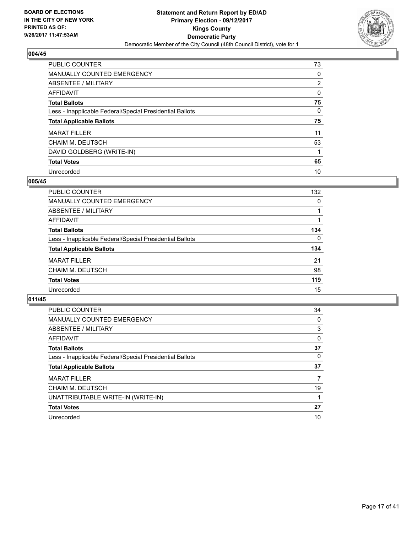

| <b>PUBLIC COUNTER</b>                                    | 73             |
|----------------------------------------------------------|----------------|
| <b>MANUALLY COUNTED EMERGENCY</b>                        | 0              |
| ABSENTEE / MILITARY                                      | $\overline{2}$ |
| AFFIDAVIT                                                | 0              |
| <b>Total Ballots</b>                                     | 75             |
| Less - Inapplicable Federal/Special Presidential Ballots | 0              |
| <b>Total Applicable Ballots</b>                          | 75             |
| <b>MARAT FILLER</b>                                      | 11             |
| <b>CHAIM M. DEUTSCH</b>                                  | 53             |
| DAVID GOLDBERG (WRITE-IN)                                |                |
| <b>Total Votes</b>                                       | 65             |
| Unrecorded                                               | 10             |

#### **005/45**

| <b>PUBLIC COUNTER</b>                                    | 132 |
|----------------------------------------------------------|-----|
| MANUALLY COUNTED EMERGENCY                               | 0   |
| ABSENTEE / MILITARY                                      |     |
| AFFIDAVIT                                                |     |
| <b>Total Ballots</b>                                     | 134 |
| Less - Inapplicable Federal/Special Presidential Ballots | 0   |
| <b>Total Applicable Ballots</b>                          | 134 |
| <b>MARAT FILLER</b>                                      | 21  |
| <b>CHAIM M. DEUTSCH</b>                                  | 98  |
| <b>Total Votes</b>                                       | 119 |
| Unrecorded                                               | 15  |

| <b>PUBLIC COUNTER</b>                                    | 34 |
|----------------------------------------------------------|----|
| <b>MANUALLY COUNTED EMERGENCY</b>                        | 0  |
| ABSENTEE / MILITARY                                      | 3  |
| AFFIDAVIT                                                | 0  |
| <b>Total Ballots</b>                                     | 37 |
| Less - Inapplicable Federal/Special Presidential Ballots | 0  |
| <b>Total Applicable Ballots</b>                          | 37 |
| <b>MARAT FILLER</b>                                      | 7  |
| CHAIM M. DEUTSCH                                         | 19 |
| UNATTRIBUTABLE WRITE-IN (WRITE-IN)                       |    |
| <b>Total Votes</b>                                       | 27 |
| Unrecorded                                               | 10 |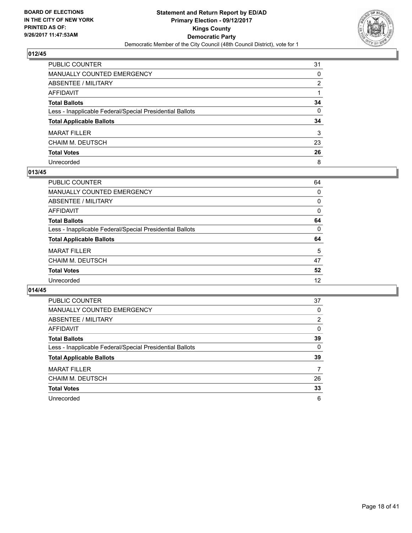

| PUBLIC COUNTER                                           | 31 |
|----------------------------------------------------------|----|
| MANUALLY COUNTED EMERGENCY                               | 0  |
| ABSENTEE / MILITARY                                      | 2  |
| AFFIDAVIT                                                |    |
| Total Ballots                                            | 34 |
| Less - Inapplicable Federal/Special Presidential Ballots | 0  |
| <b>Total Applicable Ballots</b>                          | 34 |
| MARAT FILLER                                             | 3  |
| CHAIM M. DEUTSCH                                         | 23 |
| <b>Total Votes</b>                                       | 26 |
| Unrecorded                                               | 8  |

#### **013/45**

| <b>PUBLIC COUNTER</b>                                    | 64 |
|----------------------------------------------------------|----|
| <b>MANUALLY COUNTED EMERGENCY</b>                        | 0  |
| ABSENTEE / MILITARY                                      | 0  |
| AFFIDAVIT                                                | 0  |
| <b>Total Ballots</b>                                     | 64 |
| Less - Inapplicable Federal/Special Presidential Ballots | 0  |
| <b>Total Applicable Ballots</b>                          | 64 |
| <b>MARAT FILLER</b>                                      | 5  |
| <b>CHAIM M. DEUTSCH</b>                                  | 47 |
| <b>Total Votes</b>                                       | 52 |
| Unrecorded                                               | 12 |
|                                                          |    |

| <b>PUBLIC COUNTER</b>                                    | 37 |
|----------------------------------------------------------|----|
| <b>MANUALLY COUNTED EMERGENCY</b>                        | 0  |
| <b>ABSENTEE / MILITARY</b>                               | 2  |
| AFFIDAVIT                                                | 0  |
| <b>Total Ballots</b>                                     | 39 |
| Less - Inapplicable Federal/Special Presidential Ballots | 0  |
| <b>Total Applicable Ballots</b>                          | 39 |
| <b>MARAT FILLER</b>                                      | 7  |
| CHAIM M. DEUTSCH                                         | 26 |
| <b>Total Votes</b>                                       | 33 |
|                                                          |    |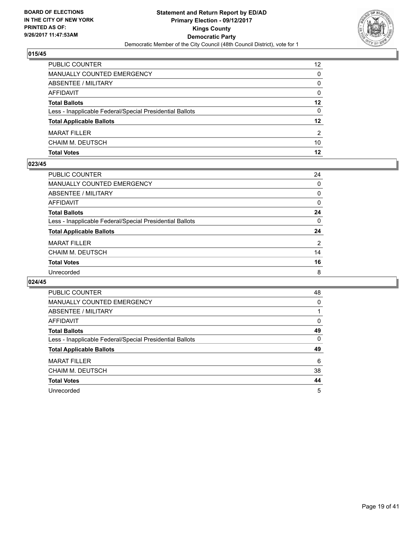

| <b>PUBLIC COUNTER</b>                                    | $12 \overline{ }$ |
|----------------------------------------------------------|-------------------|
| <b>MANUALLY COUNTED EMERGENCY</b>                        | 0                 |
| ABSENTEE / MILITARY                                      | 0                 |
| AFFIDAVIT                                                | 0                 |
| <b>Total Ballots</b>                                     | 12                |
| Less - Inapplicable Federal/Special Presidential Ballots | 0                 |
| <b>Total Applicable Ballots</b>                          | 12                |
| <b>MARAT FILLER</b>                                      | 2                 |
| CHAIM M. DEUTSCH                                         | 10                |
| <b>Total Votes</b>                                       | 12                |

#### **023/45**

| <b>PUBLIC COUNTER</b>                                    | 24       |
|----------------------------------------------------------|----------|
| MANUALLY COUNTED EMERGENCY                               | $\Omega$ |
| ABSENTEE / MILITARY                                      | 0        |
| AFFIDAVIT                                                | 0        |
| <b>Total Ballots</b>                                     | 24       |
| Less - Inapplicable Federal/Special Presidential Ballots | $\Omega$ |
| <b>Total Applicable Ballots</b>                          | 24       |
| <b>MARAT FILLER</b>                                      | 2        |
| CHAIM M. DEUTSCH                                         | 14       |
| <b>Total Votes</b>                                       | 16       |
| Unrecorded                                               | 8        |
|                                                          |          |

| <b>PUBLIC COUNTER</b>                                    | 48 |
|----------------------------------------------------------|----|
| <b>MANUALLY COUNTED EMERGENCY</b>                        | 0  |
| <b>ABSENTEE / MILITARY</b>                               |    |
| AFFIDAVIT                                                | 0  |
| <b>Total Ballots</b>                                     | 49 |
| Less - Inapplicable Federal/Special Presidential Ballots | 0  |
| <b>Total Applicable Ballots</b>                          | 49 |
| <b>MARAT FILLER</b>                                      | 6  |
| CHAIM M. DEUTSCH                                         | 38 |
| <b>Total Votes</b>                                       | 44 |
| Unrecorded                                               | 5  |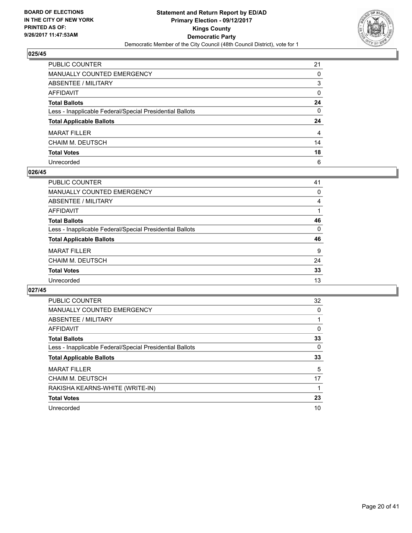

| PUBLIC COUNTER                                           | 21 |
|----------------------------------------------------------|----|
| MANUALLY COUNTED EMERGENCY                               | 0  |
| ABSENTEE / MILITARY                                      | 3  |
| AFFIDAVIT                                                | 0  |
| Total Ballots                                            | 24 |
| Less - Inapplicable Federal/Special Presidential Ballots | 0  |
| <b>Total Applicable Ballots</b>                          | 24 |
| <b>MARAT FILLER</b>                                      | 4  |
| CHAIM M. DEUTSCH                                         | 14 |
| <b>Total Votes</b>                                       | 18 |
| Unrecorded                                               | 6  |

#### **026/45**

| <b>PUBLIC COUNTER</b>                                    | 41 |
|----------------------------------------------------------|----|
| <b>MANUALLY COUNTED EMERGENCY</b>                        | 0  |
| ABSENTEE / MILITARY                                      | 4  |
| AFFIDAVIT                                                |    |
| <b>Total Ballots</b>                                     | 46 |
| Less - Inapplicable Federal/Special Presidential Ballots | 0  |
| <b>Total Applicable Ballots</b>                          | 46 |
| <b>MARAT FILLER</b>                                      | 9  |
| <b>CHAIM M. DEUTSCH</b>                                  | 24 |
| <b>Total Votes</b>                                       | 33 |
| Unrecorded                                               | 13 |
|                                                          |    |

| <b>PUBLIC COUNTER</b>                                    | 32 |
|----------------------------------------------------------|----|
| <b>MANUALLY COUNTED EMERGENCY</b>                        | 0  |
| ABSENTEE / MILITARY                                      |    |
| AFFIDAVIT                                                | 0  |
| <b>Total Ballots</b>                                     | 33 |
| Less - Inapplicable Federal/Special Presidential Ballots | 0  |
| <b>Total Applicable Ballots</b>                          | 33 |
| <b>MARAT FILLER</b>                                      | 5  |
| CHAIM M. DEUTSCH                                         | 17 |
| RAKISHA KEARNS-WHITE (WRITE-IN)                          |    |
| <b>Total Votes</b>                                       | 23 |
| Unrecorded                                               | 10 |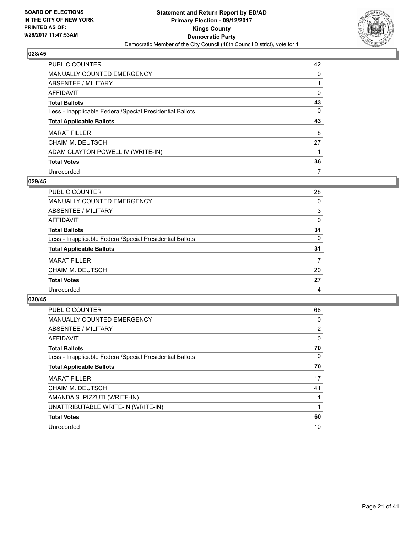

| PUBLIC COUNTER                                           | 42 |
|----------------------------------------------------------|----|
| <b>MANUALLY COUNTED EMERGENCY</b>                        | 0  |
| ABSENTEE / MILITARY                                      |    |
| AFFIDAVIT                                                | 0  |
| <b>Total Ballots</b>                                     | 43 |
| Less - Inapplicable Federal/Special Presidential Ballots | 0  |
| <b>Total Applicable Ballots</b>                          | 43 |
| <b>MARAT FILLER</b>                                      | 8  |
| CHAIM M. DEUTSCH                                         | 27 |
| ADAM CLAYTON POWELL IV (WRITE-IN)                        |    |
| <b>Total Votes</b>                                       | 36 |
| Unrecorded                                               | 7  |

#### **029/45**

| PUBLIC COUNTER                                           | 28       |
|----------------------------------------------------------|----------|
| MANUALLY COUNTED EMERGENCY                               | 0        |
| ABSENTEE / MILITARY                                      | 3        |
| AFFIDAVIT                                                | $\Omega$ |
| <b>Total Ballots</b>                                     | 31       |
| Less - Inapplicable Federal/Special Presidential Ballots | 0        |
| <b>Total Applicable Ballots</b>                          | 31       |
| <b>MARAT FILLER</b>                                      | 7        |
| <b>CHAIM M. DEUTSCH</b>                                  | 20       |
| <b>Total Votes</b>                                       | 27       |
| Unrecorded                                               | 4        |

| <b>PUBLIC COUNTER</b>                                    | 68             |
|----------------------------------------------------------|----------------|
| <b>MANUALLY COUNTED EMERGENCY</b>                        | 0              |
| ABSENTEE / MILITARY                                      | $\overline{2}$ |
| <b>AFFIDAVIT</b>                                         | 0              |
| <b>Total Ballots</b>                                     | 70             |
| Less - Inapplicable Federal/Special Presidential Ballots | 0              |
| <b>Total Applicable Ballots</b>                          | 70             |
| <b>MARAT FILLER</b>                                      | 17             |
| <b>CHAIM M. DEUTSCH</b>                                  | 41             |
| AMANDA S. PIZZUTI (WRITE-IN)                             |                |
| UNATTRIBUTABLE WRITE-IN (WRITE-IN)                       | 1              |
| <b>Total Votes</b>                                       | 60             |
| Unrecorded                                               | 10             |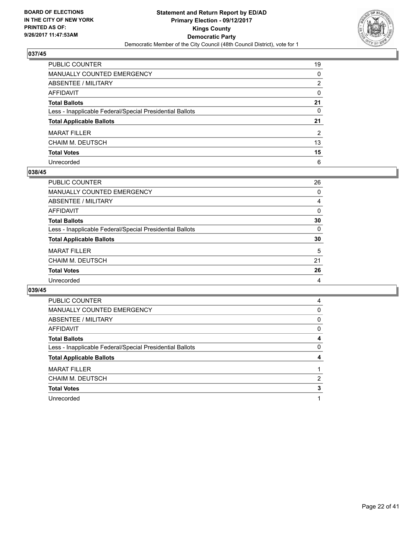

| PUBLIC COUNTER                                           | 19 |
|----------------------------------------------------------|----|
| <b>MANUALLY COUNTED EMERGENCY</b>                        | 0  |
| <b>ABSENTEE / MILITARY</b>                               | 2  |
| AFFIDAVIT                                                | 0  |
| <b>Total Ballots</b>                                     | 21 |
| Less - Inapplicable Federal/Special Presidential Ballots | 0  |
| <b>Total Applicable Ballots</b>                          | 21 |
| <b>MARAT FILLER</b>                                      | 2  |
| CHAIM M. DEUTSCH                                         | 13 |
| <b>Total Votes</b>                                       | 15 |
| Unrecorded                                               | 6  |

#### **038/45**

| <b>PUBLIC COUNTER</b>                                    | 26       |
|----------------------------------------------------------|----------|
| MANUALLY COUNTED EMERGENCY                               | 0        |
| ABSENTEE / MILITARY                                      | 4        |
| AFFIDAVIT                                                | 0        |
| <b>Total Ballots</b>                                     | 30       |
| Less - Inapplicable Federal/Special Presidential Ballots | $\Omega$ |
| <b>Total Applicable Ballots</b>                          | 30       |
| <b>MARAT FILLER</b>                                      | 5        |
| <b>CHAIM M. DEUTSCH</b>                                  | 21       |
| <b>Total Votes</b>                                       | 26       |
| Unrecorded                                               | 4        |

| <b>PUBLIC COUNTER</b>                                    | 4 |
|----------------------------------------------------------|---|
| <b>MANUALLY COUNTED EMERGENCY</b>                        | 0 |
| ABSENTEE / MILITARY                                      | 0 |
| <b>AFFIDAVIT</b>                                         | 0 |
| <b>Total Ballots</b>                                     | 4 |
| Less - Inapplicable Federal/Special Presidential Ballots | 0 |
|                                                          |   |
| <b>Total Applicable Ballots</b>                          | 4 |
| <b>MARAT FILLER</b>                                      |   |
| CHAIM M. DEUTSCH                                         | 2 |
| <b>Total Votes</b>                                       | 3 |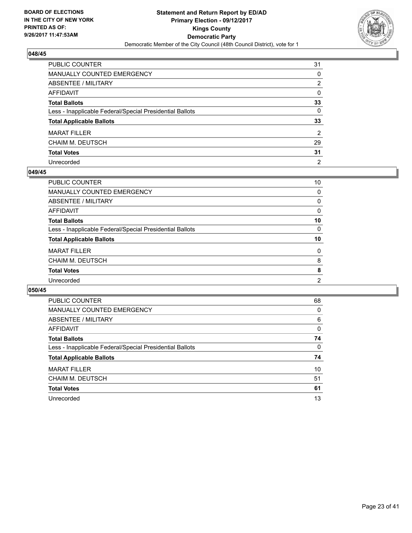

| PUBLIC COUNTER                                           | 31 |
|----------------------------------------------------------|----|
| <b>MANUALLY COUNTED EMERGENCY</b>                        | 0  |
| <b>ABSENTEE / MILITARY</b>                               | 2  |
| AFFIDAVIT                                                | 0  |
| <b>Total Ballots</b>                                     | 33 |
| Less - Inapplicable Federal/Special Presidential Ballots | 0  |
| <b>Total Applicable Ballots</b>                          | 33 |
| <b>MARAT FILLER</b>                                      | 2  |
| CHAIM M. DEUTSCH                                         | 29 |
| <b>Total Votes</b>                                       | 31 |
| Unrecorded                                               | 2  |

#### **049/45**

| <b>PUBLIC COUNTER</b>                                    | 10             |
|----------------------------------------------------------|----------------|
| <b>MANUALLY COUNTED EMERGENCY</b>                        | 0              |
| ABSENTEE / MILITARY                                      | 0              |
| AFFIDAVIT                                                | 0              |
| <b>Total Ballots</b>                                     | 10             |
| Less - Inapplicable Federal/Special Presidential Ballots | 0              |
| <b>Total Applicable Ballots</b>                          | 10             |
| <b>MARAT FILLER</b>                                      | 0              |
| <b>CHAIM M. DEUTSCH</b>                                  | 8              |
| <b>Total Votes</b>                                       | 8              |
| Unrecorded                                               | $\overline{2}$ |
|                                                          |                |

| <b>PUBLIC COUNTER</b>                                    | 68 |
|----------------------------------------------------------|----|
| <b>MANUALLY COUNTED EMERGENCY</b>                        | 0  |
| ABSENTEE / MILITARY                                      | 6  |
| AFFIDAVIT                                                | 0  |
| <b>Total Ballots</b>                                     | 74 |
| Less - Inapplicable Federal/Special Presidential Ballots | 0  |
| <b>Total Applicable Ballots</b>                          | 74 |
| <b>MARAT FILLER</b>                                      | 10 |
| CHAIM M. DEUTSCH                                         | 51 |
| <b>Total Votes</b>                                       | 61 |
| Unrecorded                                               | 13 |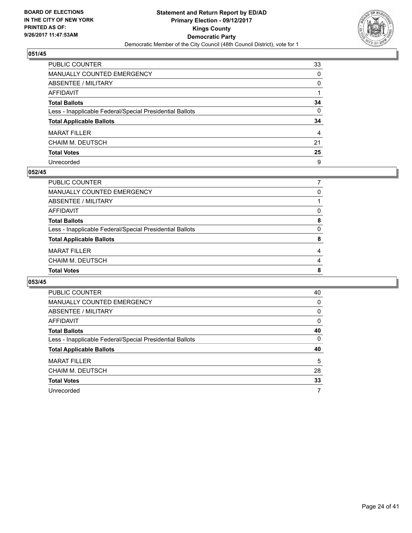

| PUBLIC COUNTER                                           | 33 |
|----------------------------------------------------------|----|
| <b>MANUALLY COUNTED EMERGENCY</b>                        | 0  |
| <b>ABSENTEE / MILITARY</b>                               | 0  |
| AFFIDAVIT                                                |    |
| <b>Total Ballots</b>                                     | 34 |
| Less - Inapplicable Federal/Special Presidential Ballots | 0  |
| <b>Total Applicable Ballots</b>                          | 34 |
| <b>MARAT FILLER</b>                                      | 4  |
| CHAIM M. DEUTSCH                                         | 21 |
| <b>Total Votes</b>                                       | 25 |
| Unrecorded                                               | 9  |

#### **052/45**

| PUBLIC COUNTER                                           |          |
|----------------------------------------------------------|----------|
| MANUALLY COUNTED EMERGENCY                               | 0        |
| ABSENTEE / MILITARY                                      |          |
| AFFIDAVIT                                                | 0        |
| <b>Total Ballots</b>                                     | 8        |
| Less - Inapplicable Federal/Special Presidential Ballots | $\Omega$ |
| <b>Total Applicable Ballots</b>                          | 8        |
| <b>MARAT FILLER</b>                                      | 4        |
| CHAIM M. DEUTSCH                                         | 4        |
| <b>Total Votes</b>                                       | 8        |
|                                                          |          |

| <b>PUBLIC COUNTER</b>                                    | 40 |
|----------------------------------------------------------|----|
| MANUALLY COUNTED EMERGENCY                               | 0  |
| ABSENTEE / MILITARY                                      | 0  |
| AFFIDAVIT                                                | 0  |
| <b>Total Ballots</b>                                     | 40 |
| Less - Inapplicable Federal/Special Presidential Ballots | 0  |
| <b>Total Applicable Ballots</b>                          | 40 |
| <b>MARAT FILLER</b>                                      | 5  |
|                                                          |    |
| CHAIM M. DEUTSCH                                         | 28 |
| <b>Total Votes</b>                                       | 33 |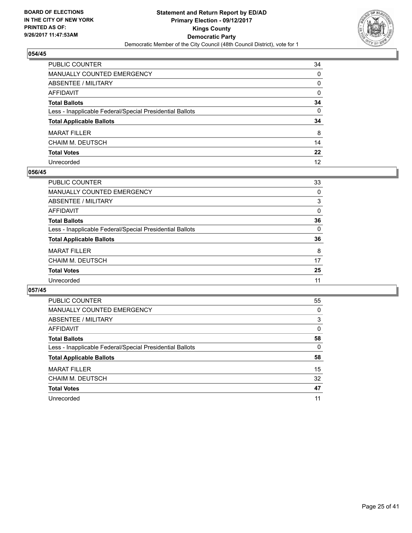

| PUBLIC COUNTER                                           | 34 |
|----------------------------------------------------------|----|
| <b>MANUALLY COUNTED EMERGENCY</b>                        | 0  |
| <b>ABSENTEE / MILITARY</b>                               | 0  |
| AFFIDAVIT                                                | 0  |
| <b>Total Ballots</b>                                     | 34 |
| Less - Inapplicable Federal/Special Presidential Ballots | 0  |
| <b>Total Applicable Ballots</b>                          | 34 |
| <b>MARAT FILLER</b>                                      | 8  |
| CHAIM M. DEUTSCH                                         | 14 |
| <b>Total Votes</b>                                       | 22 |
| Unrecorded                                               | 12 |

#### **056/45**

| <b>PUBLIC COUNTER</b>                                    | 33 |
|----------------------------------------------------------|----|
| <b>MANUALLY COUNTED EMERGENCY</b>                        | 0  |
| ABSENTEE / MILITARY                                      | 3  |
| AFFIDAVIT                                                | 0  |
| <b>Total Ballots</b>                                     | 36 |
| Less - Inapplicable Federal/Special Presidential Ballots | 0  |
| <b>Total Applicable Ballots</b>                          | 36 |
| <b>MARAT FILLER</b>                                      | 8  |
| <b>CHAIM M. DEUTSCH</b>                                  | 17 |
| <b>Total Votes</b>                                       | 25 |
| Unrecorded                                               | 11 |

| <b>PUBLIC COUNTER</b>                                    | 55 |
|----------------------------------------------------------|----|
| <b>MANUALLY COUNTED EMERGENCY</b>                        | 0  |
| <b>ABSENTEE / MILITARY</b>                               | 3  |
| <b>AFFIDAVIT</b>                                         | 0  |
| <b>Total Ballots</b>                                     | 58 |
| Less - Inapplicable Federal/Special Presidential Ballots | 0  |
| <b>Total Applicable Ballots</b>                          | 58 |
| <b>MARAT FILLER</b>                                      | 15 |
| CHAIM M. DEUTSCH                                         | 32 |
| <b>Total Votes</b>                                       | 47 |
| Unrecorded                                               | 11 |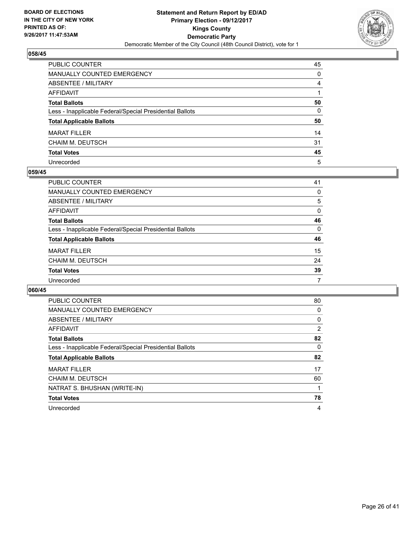

| PUBLIC COUNTER                                           | 45 |
|----------------------------------------------------------|----|
| <b>MANUALLY COUNTED EMERGENCY</b>                        | 0  |
| <b>ABSENTEE / MILITARY</b>                               | 4  |
| AFFIDAVIT                                                |    |
| <b>Total Ballots</b>                                     | 50 |
| Less - Inapplicable Federal/Special Presidential Ballots | 0  |
| <b>Total Applicable Ballots</b>                          | 50 |
| <b>MARAT FILLER</b>                                      | 14 |
| CHAIM M. DEUTSCH                                         | 31 |
| <b>Total Votes</b>                                       | 45 |
| Unrecorded                                               | 5  |

#### **059/45**

| <b>PUBLIC COUNTER</b>                                    | 41       |
|----------------------------------------------------------|----------|
| MANUALLY COUNTED EMERGENCY                               | 0        |
| ABSENTEE / MILITARY                                      | 5        |
| AFFIDAVIT                                                | 0        |
| <b>Total Ballots</b>                                     | 46       |
| Less - Inapplicable Federal/Special Presidential Ballots | $\Omega$ |
| <b>Total Applicable Ballots</b>                          | 46       |
| <b>MARAT FILLER</b>                                      | 15       |
| <b>CHAIM M. DEUTSCH</b>                                  | 24       |
| <b>Total Votes</b>                                       | 39       |
| Unrecorded                                               | 7        |

| <b>PUBLIC COUNTER</b>                                    | 80 |
|----------------------------------------------------------|----|
| MANUALLY COUNTED EMERGENCY                               | 0  |
| ABSENTEE / MILITARY                                      | 0  |
| AFFIDAVIT                                                | 2  |
| <b>Total Ballots</b>                                     | 82 |
| Less - Inapplicable Federal/Special Presidential Ballots | 0  |
| <b>Total Applicable Ballots</b>                          | 82 |
| <b>MARAT FILLER</b>                                      | 17 |
| CHAIM M. DEUTSCH                                         | 60 |
| NATRAT S. BHUSHAN (WRITE-IN)                             |    |
| <b>Total Votes</b>                                       | 78 |
| Unrecorded                                               | 4  |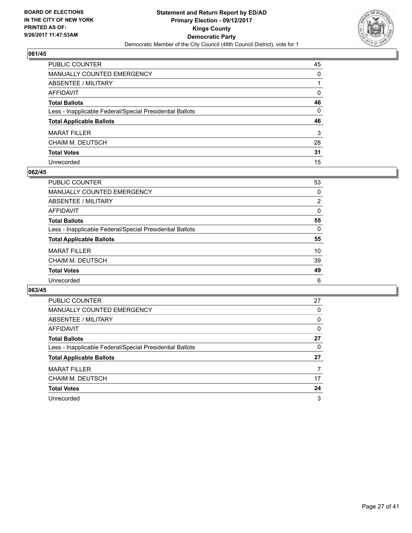

| PUBLIC COUNTER                                           | 45 |
|----------------------------------------------------------|----|
| <b>MANUALLY COUNTED EMERGENCY</b>                        | 0  |
| <b>ABSENTEE / MILITARY</b>                               |    |
| AFFIDAVIT                                                | 0  |
| <b>Total Ballots</b>                                     | 46 |
| Less - Inapplicable Federal/Special Presidential Ballots | 0  |
| <b>Total Applicable Ballots</b>                          | 46 |
| <b>MARAT FILLER</b>                                      | 3  |
| CHAIM M. DEUTSCH                                         | 28 |
| <b>Total Votes</b>                                       | 31 |
| Unrecorded                                               | 15 |

#### **062/45**

| <b>PUBLIC COUNTER</b>                                    | 53             |
|----------------------------------------------------------|----------------|
| <b>MANUALLY COUNTED EMERGENCY</b>                        | 0              |
| ABSENTEE / MILITARY                                      | $\overline{2}$ |
| AFFIDAVIT                                                | $\Omega$       |
| <b>Total Ballots</b>                                     | 55             |
| Less - Inapplicable Federal/Special Presidential Ballots | 0              |
| <b>Total Applicable Ballots</b>                          | 55             |
| <b>MARAT FILLER</b>                                      | 10             |
| <b>CHAIM M. DEUTSCH</b>                                  | 39             |
| <b>Total Votes</b>                                       | 49             |
| Unrecorded                                               | 6              |

| <b>PUBLIC COUNTER</b>                                    | 27 |
|----------------------------------------------------------|----|
| <b>MANUALLY COUNTED EMERGENCY</b>                        | 0  |
| ABSENTEE / MILITARY                                      | 0  |
| AFFIDAVIT                                                | 0  |
| <b>Total Ballots</b>                                     | 27 |
| Less - Inapplicable Federal/Special Presidential Ballots | 0  |
| <b>Total Applicable Ballots</b>                          | 27 |
| <b>MARAT FILLER</b>                                      |    |
| CHAIM M. DEUTSCH                                         | 17 |
| <b>Total Votes</b>                                       | 24 |
| Unrecorded                                               | 3  |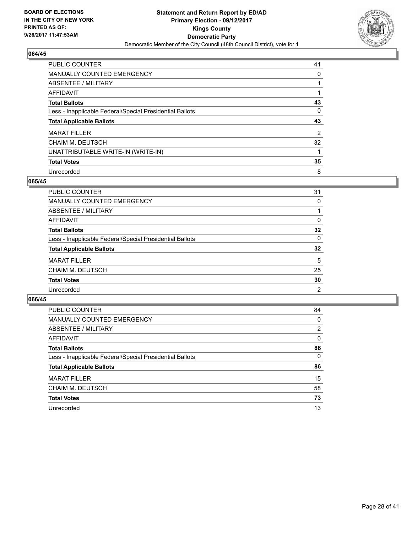

| PUBLIC COUNTER                                           | 41             |
|----------------------------------------------------------|----------------|
| <b>MANUALLY COUNTED EMERGENCY</b>                        | 0              |
| ABSENTEE / MILITARY                                      |                |
| AFFIDAVIT                                                |                |
| <b>Total Ballots</b>                                     | 43             |
| Less - Inapplicable Federal/Special Presidential Ballots | 0              |
| <b>Total Applicable Ballots</b>                          | 43             |
| <b>MARAT FILLER</b>                                      | $\overline{2}$ |
| <b>CHAIM M. DEUTSCH</b>                                  | 32             |
| UNATTRIBUTABLE WRITE-IN (WRITE-IN)                       |                |
| <b>Total Votes</b>                                       | 35             |
| Unrecorded                                               | 8              |

### **065/45**

| PUBLIC COUNTER                                           | 31 |
|----------------------------------------------------------|----|
| MANUALLY COUNTED EMERGENCY                               | 0  |
| ABSENTEE / MILITARY                                      |    |
| AFFIDAVIT                                                | 0  |
| <b>Total Ballots</b>                                     | 32 |
| Less - Inapplicable Federal/Special Presidential Ballots | 0  |
| <b>Total Applicable Ballots</b>                          | 32 |
| <b>MARAT FILLER</b>                                      | 5  |
| <b>CHAIM M. DEUTSCH</b>                                  | 25 |
| <b>Total Votes</b>                                       | 30 |
| Unrecorded                                               | 2  |

| <b>PUBLIC COUNTER</b>                                    | 84 |
|----------------------------------------------------------|----|
| <b>MANUALLY COUNTED EMERGENCY</b>                        | 0  |
| ABSENTEE / MILITARY                                      | 2  |
| AFFIDAVIT                                                | 0  |
| <b>Total Ballots</b>                                     | 86 |
| Less - Inapplicable Federal/Special Presidential Ballots | 0  |
| <b>Total Applicable Ballots</b>                          | 86 |
| <b>MARAT FILLER</b>                                      | 15 |
| <b>CHAIM M. DEUTSCH</b>                                  | 58 |
| <b>Total Votes</b>                                       | 73 |
| Unrecorded                                               | 13 |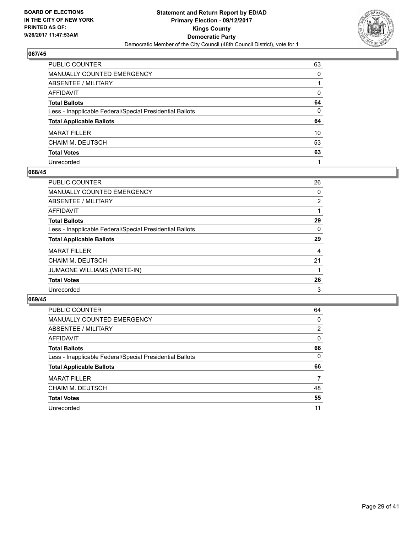

| PUBLIC COUNTER                                           | 63 |
|----------------------------------------------------------|----|
| <b>MANUALLY COUNTED EMERGENCY</b>                        | 0  |
| <b>ABSENTEE / MILITARY</b>                               |    |
| <b>AFFIDAVIT</b>                                         | 0  |
| <b>Total Ballots</b>                                     | 64 |
| Less - Inapplicable Federal/Special Presidential Ballots | 0  |
| <b>Total Applicable Ballots</b>                          | 64 |
| <b>MARAT FILLER</b>                                      | 10 |
| CHAIM M. DEUTSCH                                         | 53 |
| <b>Total Votes</b>                                       | 63 |
| Unrecorded                                               |    |

#### **068/45**

| <b>PUBLIC COUNTER</b>                                    | 26 |
|----------------------------------------------------------|----|
| <b>MANUALLY COUNTED EMERGENCY</b>                        | 0  |
| ABSENTEE / MILITARY                                      | 2  |
| AFFIDAVIT                                                |    |
| <b>Total Ballots</b>                                     | 29 |
| Less - Inapplicable Federal/Special Presidential Ballots | 0  |
| <b>Total Applicable Ballots</b>                          | 29 |
| <b>MARAT FILLER</b>                                      | 4  |
| <b>CHAIM M. DEUTSCH</b>                                  | 21 |
| <b>JUMAONE WILLIAMS (WRITE-IN)</b>                       |    |
| <b>Total Votes</b>                                       | 26 |
| Unrecorded                                               | 3  |
|                                                          |    |

| <b>PUBLIC COUNTER</b>                                    | 64 |
|----------------------------------------------------------|----|
| <b>MANUALLY COUNTED EMERGENCY</b>                        | 0  |
| ABSENTEE / MILITARY                                      | 2  |
| AFFIDAVIT                                                | 0  |
| <b>Total Ballots</b>                                     | 66 |
| Less - Inapplicable Federal/Special Presidential Ballots | 0  |
| <b>Total Applicable Ballots</b>                          | 66 |
| <b>MARAT FILLER</b>                                      | 7  |
| CHAIM M. DEUTSCH                                         | 48 |
| <b>Total Votes</b>                                       | 55 |
| Unrecorded                                               | 11 |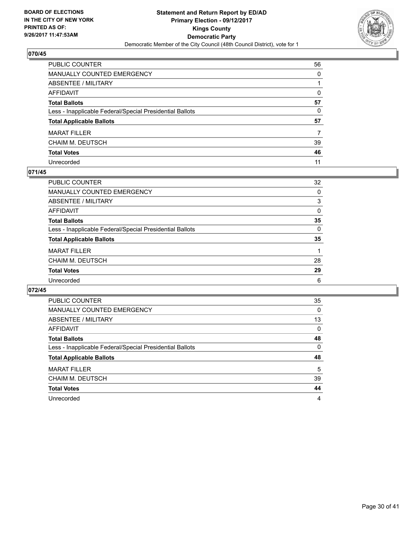

| PUBLIC COUNTER                                           | 56 |
|----------------------------------------------------------|----|
| <b>MANUALLY COUNTED EMERGENCY</b>                        | 0  |
| <b>ABSENTEE / MILITARY</b>                               |    |
| AFFIDAVIT                                                | 0  |
| <b>Total Ballots</b>                                     | 57 |
| Less - Inapplicable Federal/Special Presidential Ballots | 0  |
| <b>Total Applicable Ballots</b>                          | 57 |
| <b>MARAT FILLER</b>                                      |    |
| CHAIM M. DEUTSCH                                         | 39 |
| <b>Total Votes</b>                                       | 46 |
| Unrecorded                                               | 11 |

#### **071/45**

| <b>PUBLIC COUNTER</b>                                    | 32 |
|----------------------------------------------------------|----|
| <b>MANUALLY COUNTED EMERGENCY</b>                        | 0  |
| ABSENTEE / MILITARY                                      | 3  |
| AFFIDAVIT                                                | 0  |
| <b>Total Ballots</b>                                     | 35 |
| Less - Inapplicable Federal/Special Presidential Ballots | 0  |
| <b>Total Applicable Ballots</b>                          | 35 |
| <b>MARAT FILLER</b>                                      |    |
| <b>CHAIM M. DEUTSCH</b>                                  | 28 |
| <b>Total Votes</b>                                       | 29 |
| Unrecorded                                               | 6  |

| <b>PUBLIC COUNTER</b>                                    | 35       |
|----------------------------------------------------------|----------|
| <b>MANUALLY COUNTED EMERGENCY</b>                        | 0        |
| <b>ABSENTEE / MILITARY</b>                               | 13       |
| <b>AFFIDAVIT</b>                                         | $\Omega$ |
| <b>Total Ballots</b>                                     | 48       |
| Less - Inapplicable Federal/Special Presidential Ballots | 0        |
| <b>Total Applicable Ballots</b>                          | 48       |
| <b>MARAT FILLER</b>                                      | 5        |
| CHAIM M. DEUTSCH                                         | 39       |
| <b>Total Votes</b>                                       | 44       |
| Unrecorded                                               | 4        |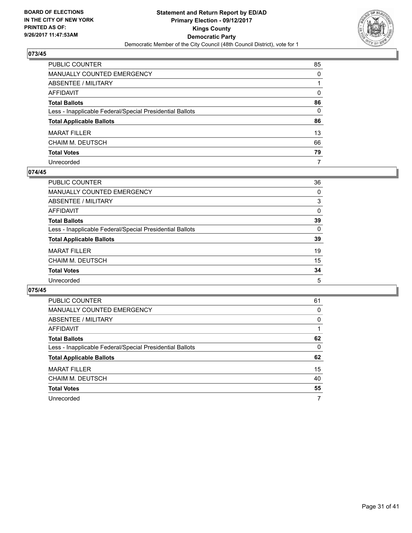

| PUBLIC COUNTER                                           | 85 |
|----------------------------------------------------------|----|
| <b>MANUALLY COUNTED EMERGENCY</b>                        | 0  |
| ABSENTEE / MILITARY                                      |    |
| AFFIDAVIT                                                | 0  |
| <b>Total Ballots</b>                                     | 86 |
| Less - Inapplicable Federal/Special Presidential Ballots | 0  |
| <b>Total Applicable Ballots</b>                          | 86 |
| <b>MARAT FILLER</b>                                      | 13 |
| CHAIM M. DEUTSCH                                         | 66 |
| <b>Total Votes</b>                                       | 79 |
| Unrecorded                                               | 7  |

#### **074/45**

| <b>PUBLIC COUNTER</b>                                    | 36 |
|----------------------------------------------------------|----|
| <b>MANUALLY COUNTED EMERGENCY</b>                        | 0  |
| ABSENTEE / MILITARY                                      | 3  |
| AFFIDAVIT                                                | 0  |
| <b>Total Ballots</b>                                     | 39 |
| Less - Inapplicable Federal/Special Presidential Ballots | 0  |
| <b>Total Applicable Ballots</b>                          | 39 |
| <b>MARAT FILLER</b>                                      | 19 |
| <b>CHAIM M. DEUTSCH</b>                                  | 15 |
| <b>Total Votes</b>                                       | 34 |
| Unrecorded                                               | 5  |

| <b>PUBLIC COUNTER</b>                                    | 61 |
|----------------------------------------------------------|----|
| <b>MANUALLY COUNTED EMERGENCY</b>                        | 0  |
| ABSENTEE / MILITARY                                      | 0  |
| <b>AFFIDAVIT</b>                                         |    |
| <b>Total Ballots</b>                                     | 62 |
| Less - Inapplicable Federal/Special Presidential Ballots | 0  |
| <b>Total Applicable Ballots</b>                          | 62 |
| <b>MARAT FILLER</b>                                      | 15 |
| CHAIM M. DEUTSCH                                         | 40 |
| <b>Total Votes</b>                                       | 55 |
| Unrecorded                                               | 7  |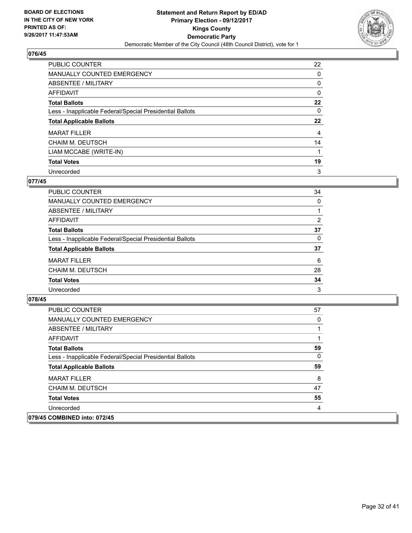

| <b>PUBLIC COUNTER</b>                                    | 22 |
|----------------------------------------------------------|----|
| <b>MANUALLY COUNTED EMERGENCY</b>                        | 0  |
| ABSENTEE / MILITARY                                      | 0  |
| AFFIDAVIT                                                | 0  |
| <b>Total Ballots</b>                                     | 22 |
| Less - Inapplicable Federal/Special Presidential Ballots | 0  |
| <b>Total Applicable Ballots</b>                          | 22 |
| <b>MARAT FILLER</b>                                      | 4  |
| <b>CHAIM M. DEUTSCH</b>                                  | 14 |
| LIAM MCCABE (WRITE-IN)                                   |    |
| <b>Total Votes</b>                                       | 19 |
| Unrecorded                                               | 3  |

### **077/45**

| <b>PUBLIC COUNTER</b>                                    | 34 |
|----------------------------------------------------------|----|
| MANUALLY COUNTED EMERGENCY                               | 0  |
| ABSENTEE / MILITARY                                      |    |
| AFFIDAVIT                                                | 2  |
| <b>Total Ballots</b>                                     | 37 |
| Less - Inapplicable Federal/Special Presidential Ballots | 0  |
| <b>Total Applicable Ballots</b>                          | 37 |
| <b>MARAT FILLER</b>                                      | 6  |
| <b>CHAIM M. DEUTSCH</b>                                  | 28 |
| <b>Total Votes</b>                                       | 34 |
| Unrecorded                                               | 3  |

| <b>PUBLIC COUNTER</b>                                    | 57 |
|----------------------------------------------------------|----|
| MANUALLY COUNTED EMERGENCY                               | 0  |
| ABSENTEE / MILITARY                                      | 1  |
| AFFIDAVIT                                                |    |
| <b>Total Ballots</b>                                     | 59 |
| Less - Inapplicable Federal/Special Presidential Ballots | 0  |
| <b>Total Applicable Ballots</b>                          | 59 |
| <b>MARAT FILLER</b>                                      | 8  |
| <b>CHAIM M. DEUTSCH</b>                                  | 47 |
| <b>Total Votes</b>                                       | 55 |
| Unrecorded                                               | 4  |
| 079/45 COMBINED into: 072/45                             |    |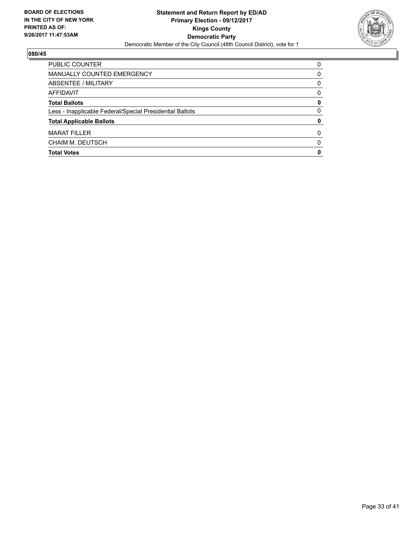

| PUBLIC COUNTER                                           | 0 |
|----------------------------------------------------------|---|
| MANUALLY COUNTED EMERGENCY                               | 0 |
| ABSENTEE / MILITARY                                      | 0 |
| AFFIDAVIT                                                | 0 |
| <b>Total Ballots</b>                                     | 0 |
| Less - Inapplicable Federal/Special Presidential Ballots | 0 |
| <b>Total Applicable Ballots</b>                          | 0 |
| <b>MARAT FILLER</b>                                      | 0 |
| CHAIM M. DEUTSCH                                         | 0 |
| <b>Total Votes</b>                                       | 0 |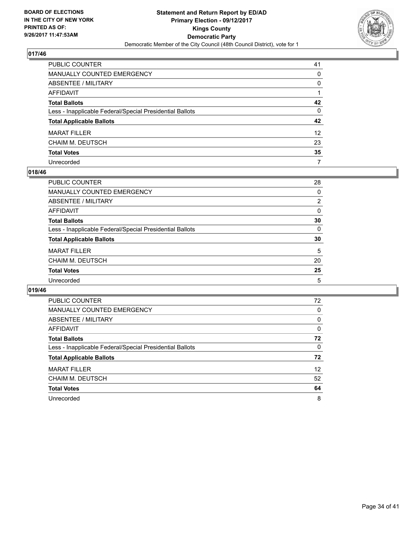

| PUBLIC COUNTER                                           | 41              |
|----------------------------------------------------------|-----------------|
| <b>MANUALLY COUNTED EMERGENCY</b>                        | 0               |
| ABSENTEE / MILITARY                                      | 0               |
| AFFIDAVIT                                                |                 |
| <b>Total Ballots</b>                                     | 42              |
| Less - Inapplicable Federal/Special Presidential Ballots | $\mathbf{0}$    |
| <b>Total Applicable Ballots</b>                          | 42              |
| <b>MARAT FILLER</b>                                      | 12 <sup>2</sup> |
| <b>CHAIM M. DEUTSCH</b>                                  | 23              |
| <b>Total Votes</b>                                       | 35              |
| Unrecorded                                               | 7               |

#### **018/46**

| <b>PUBLIC COUNTER</b>                                    | 28 |
|----------------------------------------------------------|----|
| <b>MANUALLY COUNTED EMERGENCY</b>                        | 0  |
| ABSENTEE / MILITARY                                      | 2  |
| AFFIDAVIT                                                | 0  |
| <b>Total Ballots</b>                                     | 30 |
| Less - Inapplicable Federal/Special Presidential Ballots | 0  |
| <b>Total Applicable Ballots</b>                          | 30 |
| <b>MARAT FILLER</b>                                      | 5  |
| <b>CHAIM M. DEUTSCH</b>                                  | 20 |
| <b>Total Votes</b>                                       | 25 |
| Unrecorded                                               | 5  |

| <b>PUBLIC COUNTER</b>                                    | 72                |
|----------------------------------------------------------|-------------------|
| <b>MANUALLY COUNTED EMERGENCY</b>                        | 0                 |
| <b>ABSENTEE / MILITARY</b>                               | 0                 |
| AFFIDAVIT                                                | 0                 |
| <b>Total Ballots</b>                                     | 72                |
| Less - Inapplicable Federal/Special Presidential Ballots | 0                 |
| <b>Total Applicable Ballots</b>                          | 72                |
| <b>MARAT FILLER</b>                                      | $12 \overline{ }$ |
| CHAIM M. DEUTSCH                                         | 52                |
| <b>Total Votes</b>                                       | 64                |
| Unrecorded                                               | 8                 |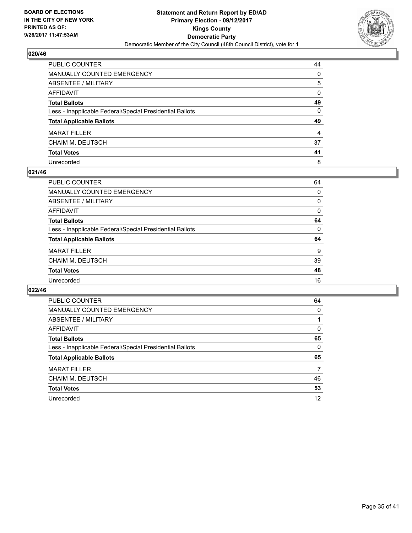

| PUBLIC COUNTER                                           | 44 |
|----------------------------------------------------------|----|
| <b>MANUALLY COUNTED EMERGENCY</b>                        | 0  |
| <b>ABSENTEE / MILITARY</b>                               | 5  |
| AFFIDAVIT                                                | 0  |
| <b>Total Ballots</b>                                     | 49 |
| Less - Inapplicable Federal/Special Presidential Ballots | 0  |
| <b>Total Applicable Ballots</b>                          | 49 |
| <b>MARAT FILLER</b>                                      | 4  |
| CHAIM M. DEUTSCH                                         | 37 |
| <b>Total Votes</b>                                       | 41 |
| Unrecorded                                               | 8  |

#### **021/46**

| <b>PUBLIC COUNTER</b>                                    | 64 |
|----------------------------------------------------------|----|
| <b>MANUALLY COUNTED EMERGENCY</b>                        | 0  |
| ABSENTEE / MILITARY                                      | 0  |
| AFFIDAVIT                                                | 0  |
| <b>Total Ballots</b>                                     | 64 |
| Less - Inapplicable Federal/Special Presidential Ballots | 0  |
| <b>Total Applicable Ballots</b>                          | 64 |
| <b>MARAT FILLER</b>                                      | 9  |
| <b>CHAIM M. DEUTSCH</b>                                  | 39 |
| <b>Total Votes</b>                                       | 48 |
| Unrecorded                                               | 16 |
|                                                          |    |

| <b>PUBLIC COUNTER</b>                                    | 64 |
|----------------------------------------------------------|----|
| <b>MANUALLY COUNTED EMERGENCY</b>                        | 0  |
| ABSENTEE / MILITARY                                      |    |
| AFFIDAVIT                                                | 0  |
| <b>Total Ballots</b>                                     | 65 |
| Less - Inapplicable Federal/Special Presidential Ballots | 0  |
| <b>Total Applicable Ballots</b>                          | 65 |
| <b>MARAT FILLER</b>                                      | 7  |
| CHAIM M. DEUTSCH                                         | 46 |
| <b>Total Votes</b>                                       | 53 |
| Unrecorded                                               | 12 |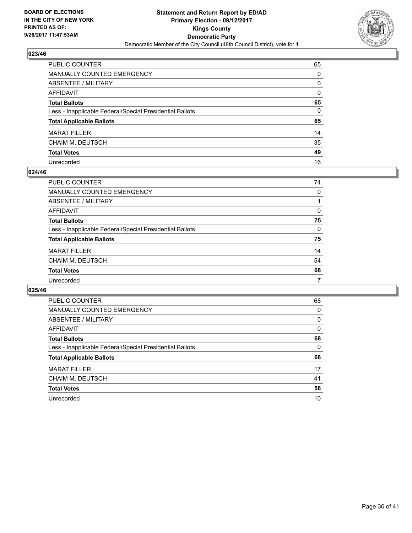

| PUBLIC COUNTER                                           | 65           |
|----------------------------------------------------------|--------------|
| MANUALLY COUNTED EMERGENCY                               | 0            |
| ABSENTEE / MILITARY                                      | 0            |
| AFFIDAVIT                                                | $\mathbf{0}$ |
| Total Ballots                                            | 65           |
| Less - Inapplicable Federal/Special Presidential Ballots | $\mathbf{0}$ |
| <b>Total Applicable Ballots</b>                          | 65           |
| MARAT FILLER                                             | 14           |
| CHAIM M. DEUTSCH                                         | 35           |
| <b>Total Votes</b>                                       | 49           |
| Unrecorded                                               | 16           |

#### **024/46**

| <b>PUBLIC COUNTER</b>                                    | 74 |
|----------------------------------------------------------|----|
| <b>MANUALLY COUNTED EMERGENCY</b>                        | 0  |
| ABSENTEE / MILITARY                                      |    |
| AFFIDAVIT                                                | 0  |
| <b>Total Ballots</b>                                     | 75 |
| Less - Inapplicable Federal/Special Presidential Ballots | 0  |
| <b>Total Applicable Ballots</b>                          | 75 |
| <b>MARAT FILLER</b>                                      | 14 |
| <b>CHAIM M. DEUTSCH</b>                                  | 54 |
| <b>Total Votes</b>                                       | 68 |
| Unrecorded                                               | 7  |

| <b>PUBLIC COUNTER</b>                                    | 68 |
|----------------------------------------------------------|----|
| <b>MANUALLY COUNTED EMERGENCY</b>                        | 0  |
| ABSENTEE / MILITARY                                      | 0  |
| <b>AFFIDAVIT</b>                                         | 0  |
| <b>Total Ballots</b>                                     | 68 |
| Less - Inapplicable Federal/Special Presidential Ballots | 0  |
| <b>Total Applicable Ballots</b>                          | 68 |
| <b>MARAT FILLER</b>                                      | 17 |
| CHAIM M. DEUTSCH                                         | 41 |
| <b>Total Votes</b>                                       | 58 |
| Unrecorded                                               | 10 |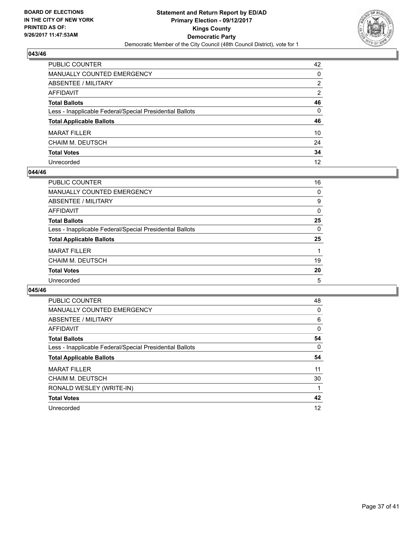

| PUBLIC COUNTER                                           | 42           |
|----------------------------------------------------------|--------------|
| <b>MANUALLY COUNTED EMERGENCY</b>                        | 0            |
| ABSENTEE / MILITARY                                      | 2            |
| AFFIDAVIT                                                | 2            |
| <b>Total Ballots</b>                                     | 46           |
| Less - Inapplicable Federal/Special Presidential Ballots | $\mathbf{0}$ |
| <b>Total Applicable Ballots</b>                          | 46           |
| <b>MARAT FILLER</b>                                      | 10           |
| <b>CHAIM M. DEUTSCH</b>                                  | 24           |
| <b>Total Votes</b>                                       | 34           |
| Unrecorded                                               | 12           |

#### **044/46**

| <b>PUBLIC COUNTER</b>                                    | 16 |
|----------------------------------------------------------|----|
| MANUALLY COUNTED EMERGENCY                               | 0  |
| ABSENTEE / MILITARY                                      | 9  |
| AFFIDAVIT                                                | 0  |
| <b>Total Ballots</b>                                     | 25 |
| Less - Inapplicable Federal/Special Presidential Ballots | 0  |
| <b>Total Applicable Ballots</b>                          | 25 |
| <b>MARAT FILLER</b>                                      |    |
| <b>CHAIM M. DEUTSCH</b>                                  | 19 |
| <b>Total Votes</b>                                       | 20 |
| Unrecorded                                               | 5  |

| <b>PUBLIC COUNTER</b>                                    | 48 |
|----------------------------------------------------------|----|
| <b>MANUALLY COUNTED EMERGENCY</b>                        | 0  |
| ABSENTEE / MILITARY                                      | 6  |
| AFFIDAVIT                                                | 0  |
| <b>Total Ballots</b>                                     | 54 |
| Less - Inapplicable Federal/Special Presidential Ballots | 0  |
| <b>Total Applicable Ballots</b>                          | 54 |
| <b>MARAT FILLER</b>                                      | 11 |
| CHAIM M. DEUTSCH                                         | 30 |
| RONALD WESLEY (WRITE-IN)                                 |    |
| <b>Total Votes</b>                                       | 42 |
| Unrecorded                                               | 12 |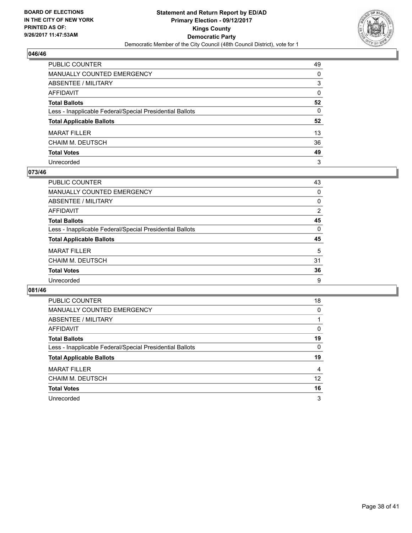

| PUBLIC COUNTER                                           | 49 |
|----------------------------------------------------------|----|
| <b>MANUALLY COUNTED EMERGENCY</b>                        | 0  |
| <b>ABSENTEE / MILITARY</b>                               | 3  |
| AFFIDAVIT                                                | 0  |
| <b>Total Ballots</b>                                     | 52 |
| Less - Inapplicable Federal/Special Presidential Ballots | 0  |
| <b>Total Applicable Ballots</b>                          | 52 |
| <b>MARAT FILLER</b>                                      | 13 |
| CHAIM M. DEUTSCH                                         | 36 |
| <b>Total Votes</b>                                       | 49 |
| Unrecorded                                               | 3  |

#### **073/46**

| <b>PUBLIC COUNTER</b>                                    | 43 |
|----------------------------------------------------------|----|
| <b>MANUALLY COUNTED EMERGENCY</b>                        | 0  |
| ABSENTEE / MILITARY                                      | 0  |
| AFFIDAVIT                                                | 2  |
| <b>Total Ballots</b>                                     | 45 |
| Less - Inapplicable Federal/Special Presidential Ballots | 0  |
| <b>Total Applicable Ballots</b>                          | 45 |
| <b>MARAT FILLER</b>                                      | 5  |
| <b>CHAIM M. DEUTSCH</b>                                  | 31 |
| <b>Total Votes</b>                                       | 36 |
| Unrecorded                                               | 9  |

| <b>PUBLIC COUNTER</b>                                    | 18 |
|----------------------------------------------------------|----|
| <b>MANUALLY COUNTED EMERGENCY</b>                        | 0  |
| <b>ABSENTEE / MILITARY</b>                               |    |
| AFFIDAVIT                                                | 0  |
| <b>Total Ballots</b>                                     | 19 |
| Less - Inapplicable Federal/Special Presidential Ballots | 0  |
| <b>Total Applicable Ballots</b>                          | 19 |
| <b>MARAT FILLER</b>                                      | 4  |
| CHAIM M. DEUTSCH                                         | 12 |
| <b>Total Votes</b>                                       | 16 |
| Unrecorded                                               | 3  |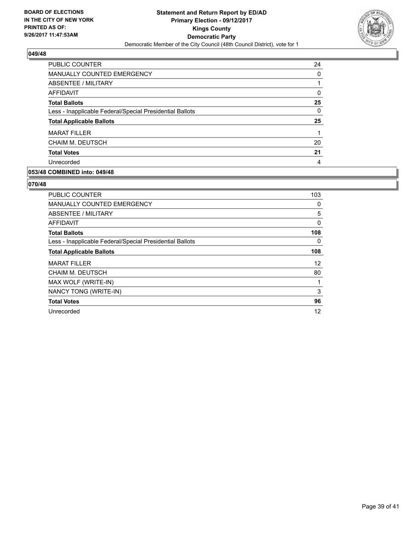

| <b>PUBLIC COUNTER</b>                                    | 24 |
|----------------------------------------------------------|----|
| <b>MANUALLY COUNTED EMERGENCY</b>                        | 0  |
| ABSENTEE / MILITARY                                      |    |
| AFFIDAVIT                                                | 0  |
| <b>Total Ballots</b>                                     | 25 |
| Less - Inapplicable Federal/Special Presidential Ballots | 0  |
| <b>Total Applicable Ballots</b>                          | 25 |
| <b>MARAT FILLER</b>                                      |    |
| <b>CHAIM M. DEUTSCH</b>                                  | 20 |
| <b>Total Votes</b>                                       | 21 |
| Unrecorded                                               | 4  |

## **053/48 COMBINED into: 049/48**

| PUBLIC COUNTER                                           | 103      |
|----------------------------------------------------------|----------|
| <b>MANUALLY COUNTED EMERGENCY</b>                        | 0        |
| ABSENTEE / MILITARY                                      | 5        |
| AFFIDAVIT                                                | $\Omega$ |
| <b>Total Ballots</b>                                     | 108      |
| Less - Inapplicable Federal/Special Presidential Ballots | 0        |
| <b>Total Applicable Ballots</b>                          | 108      |
| <b>MARAT FILLER</b>                                      | 12       |
| CHAIM M. DEUTSCH                                         | 80       |
| MAX WOLF (WRITE-IN)                                      |          |
| NANCY TONG (WRITE-IN)                                    | 3        |
| <b>Total Votes</b>                                       | 96       |
| Unrecorded                                               | 12       |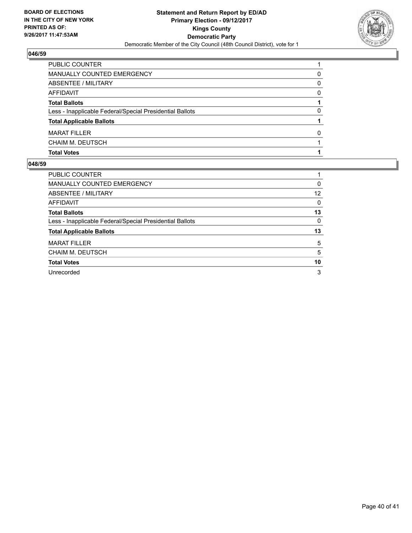

| PUBLIC COUNTER                                           |              |
|----------------------------------------------------------|--------------|
| MANUALLY COUNTED EMERGENCY                               | 0            |
| ABSENTEE / MILITARY                                      | 0            |
| AFFIDAVIT                                                | 0            |
| <b>Total Ballots</b>                                     |              |
| Less - Inapplicable Federal/Special Presidential Ballots | 0            |
| <b>Total Applicable Ballots</b>                          |              |
| <b>MARAT FILLER</b>                                      | <sup>0</sup> |
| CHAIM M. DEUTSCH                                         |              |
| <b>Total Votes</b>                                       |              |

| <b>PUBLIC COUNTER</b>                                    |    |
|----------------------------------------------------------|----|
| <b>MANUALLY COUNTED EMERGENCY</b>                        | 0  |
| ABSENTEE / MILITARY                                      | 12 |
| <b>AFFIDAVIT</b>                                         | 0  |
| <b>Total Ballots</b>                                     | 13 |
| Less - Inapplicable Federal/Special Presidential Ballots | 0  |
| <b>Total Applicable Ballots</b>                          | 13 |
| <b>MARAT FILLER</b>                                      | 5  |
| <b>CHAIM M. DEUTSCH</b>                                  | 5  |
| <b>Total Votes</b>                                       | 10 |
| Unrecorded                                               | 3  |